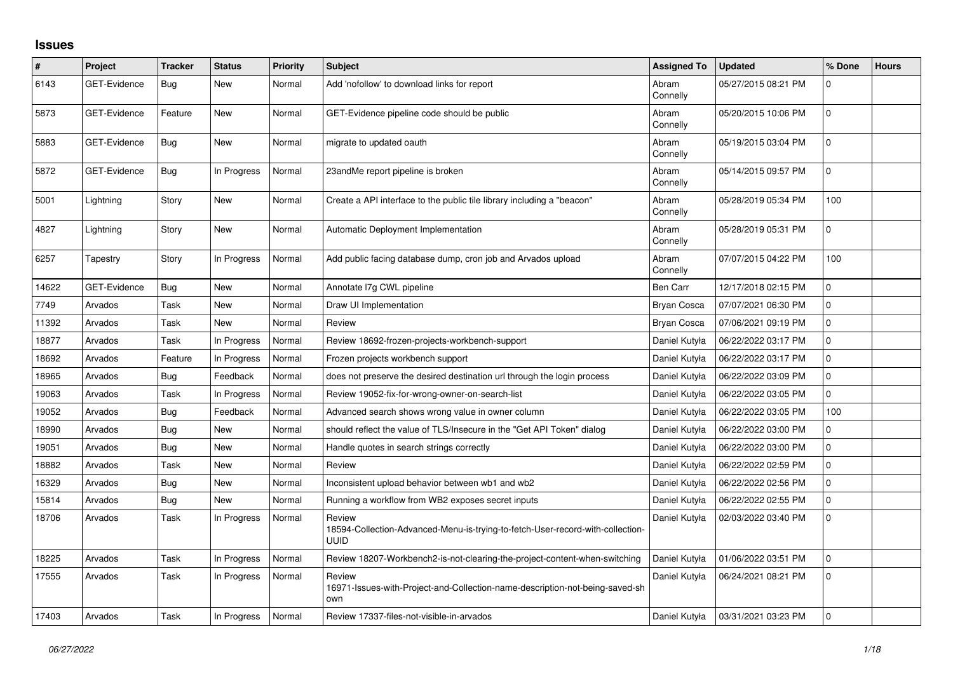## **Issues**

| #     | Project             | <b>Tracker</b> | <b>Status</b> | Priority | <b>Subject</b>                                                                                          | <b>Assigned To</b> | <b>Updated</b>      | % Done         | <b>Hours</b> |
|-------|---------------------|----------------|---------------|----------|---------------------------------------------------------------------------------------------------------|--------------------|---------------------|----------------|--------------|
| 6143  | <b>GET-Evidence</b> | Bug            | New           | Normal   | Add 'nofollow' to download links for report                                                             | Abram<br>Connelly  | 05/27/2015 08:21 PM | $\Omega$       |              |
| 5873  | <b>GET-Evidence</b> | Feature        | <b>New</b>    | Normal   | GET-Evidence pipeline code should be public                                                             | Abram<br>Connelly  | 05/20/2015 10:06 PM | $\mathbf 0$    |              |
| 5883  | <b>GET-Evidence</b> | Bug            | <b>New</b>    | Normal   | migrate to updated oauth                                                                                | Abram<br>Connelly  | 05/19/2015 03:04 PM | $\mathbf 0$    |              |
| 5872  | GET-Evidence        | Bug            | In Progress   | Normal   | 23andMe report pipeline is broken                                                                       | Abram<br>Connelly  | 05/14/2015 09:57 PM | $\Omega$       |              |
| 5001  | Lightning           | Story          | <b>New</b>    | Normal   | Create a API interface to the public tile library including a "beacon"                                  | Abram<br>Connelly  | 05/28/2019 05:34 PM | 100            |              |
| 4827  | Lightning           | Story          | <b>New</b>    | Normal   | Automatic Deployment Implementation                                                                     | Abram<br>Connelly  | 05/28/2019 05:31 PM | $\Omega$       |              |
| 6257  | Tapestry            | Story          | In Progress   | Normal   | Add public facing database dump, cron job and Arvados upload                                            | Abram<br>Connelly  | 07/07/2015 04:22 PM | 100            |              |
| 14622 | <b>GET-Evidence</b> | Bug            | <b>New</b>    | Normal   | Annotate I7g CWL pipeline                                                                               | Ben Carr           | 12/17/2018 02:15 PM | 0              |              |
| 7749  | Arvados             | Task           | <b>New</b>    | Normal   | Draw UI Implementation                                                                                  | <b>Bryan Cosca</b> | 07/07/2021 06:30 PM | $\mathbf 0$    |              |
| 11392 | Arvados             | Task           | New           | Normal   | Review                                                                                                  | Bryan Cosca        | 07/06/2021 09:19 PM | $\mathbf 0$    |              |
| 18877 | Arvados             | Task           | In Progress   | Normal   | Review 18692-frozen-projects-workbench-support                                                          | Daniel Kutyła      | 06/22/2022 03:17 PM | 0              |              |
| 18692 | Arvados             | Feature        | In Progress   | Normal   | Frozen projects workbench support                                                                       | Daniel Kutyła      | 06/22/2022 03:17 PM | $\Omega$       |              |
| 18965 | Arvados             | Bug            | Feedback      | Normal   | does not preserve the desired destination url through the login process                                 | Daniel Kutyła      | 06/22/2022 03:09 PM | $\mathbf 0$    |              |
| 19063 | Arvados             | Task           | In Progress   | Normal   | Review 19052-fix-for-wrong-owner-on-search-list                                                         | Daniel Kutyła      | 06/22/2022 03:05 PM | $\overline{0}$ |              |
| 19052 | Arvados             | Bug            | Feedback      | Normal   | Advanced search shows wrong value in owner column                                                       | Daniel Kutyła      | 06/22/2022 03:05 PM | 100            |              |
| 18990 | Arvados             | Bug            | New           | Normal   | should reflect the value of TLS/Insecure in the "Get API Token" dialog                                  | Daniel Kutyła      | 06/22/2022 03:00 PM | 0              |              |
| 19051 | Arvados             | Bug            | <b>New</b>    | Normal   | Handle quotes in search strings correctly                                                               | Daniel Kutyła      | 06/22/2022 03:00 PM | $\Omega$       |              |
| 18882 | Arvados             | Task           | <b>New</b>    | Normal   | Review                                                                                                  | Daniel Kutyła      | 06/22/2022 02:59 PM | 0              |              |
| 16329 | Arvados             | Bug            | New           | Normal   | Inconsistent upload behavior between wb1 and wb2                                                        | Daniel Kutyła      | 06/22/2022 02:56 PM | $\Omega$       |              |
| 15814 | Arvados             | Bug            | <b>New</b>    | Normal   | Running a workflow from WB2 exposes secret inputs                                                       | Daniel Kutyła      | 06/22/2022 02:55 PM | 0              |              |
| 18706 | Arvados             | Task           | In Progress   | Normal   | Review<br>18594-Collection-Advanced-Menu-is-trying-to-fetch-User-record-with-collection-<br><b>UUID</b> | Daniel Kutyła      | 02/03/2022 03:40 PM | $\Omega$       |              |
| 18225 | Arvados             | Task           | In Progress   | Normal   | Review 18207-Workbench2-is-not-clearing-the-project-content-when-switching                              | Daniel Kutyła      | 01/06/2022 03:51 PM | $\mathbf 0$    |              |
| 17555 | Arvados             | Task           | In Progress   | Normal   | Review<br>16971-Issues-with-Project-and-Collection-name-description-not-being-saved-sh<br>own           | Daniel Kutyła      | 06/24/2021 08:21 PM | $\Omega$       |              |
| 17403 | Arvados             | Task           | In Progress   | Normal   | Review 17337-files-not-visible-in-arvados                                                               | Daniel Kutyła      | 03/31/2021 03:23 PM | $\Omega$       |              |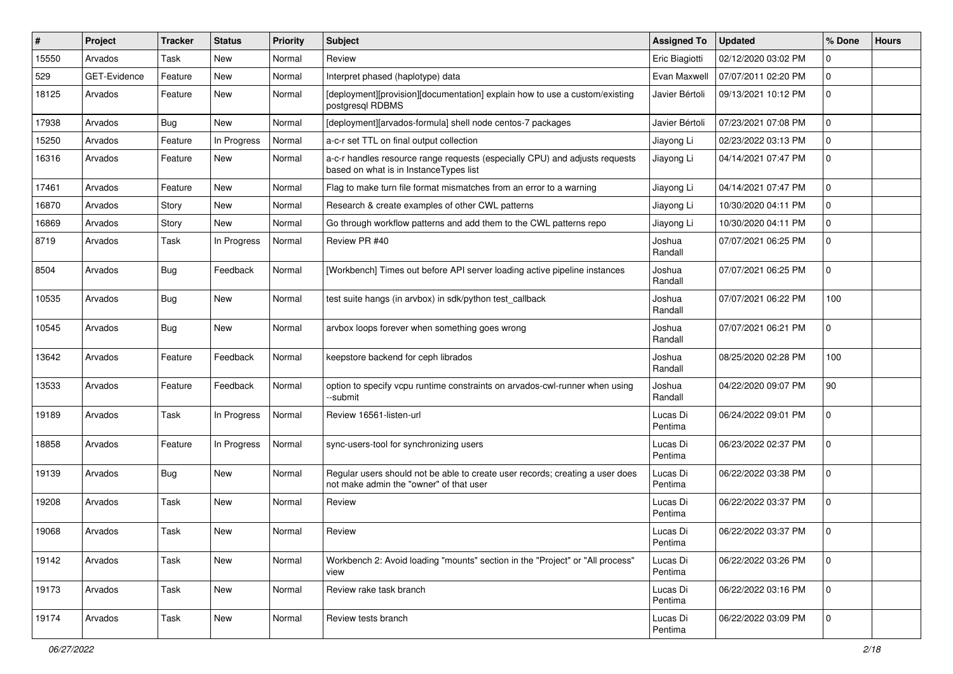| ∦     | Project      | <b>Tracker</b> | <b>Status</b> | Priority | <b>Subject</b>                                                                                                           | <b>Assigned To</b>  | <b>Updated</b>      | % Done      | <b>Hours</b> |
|-------|--------------|----------------|---------------|----------|--------------------------------------------------------------------------------------------------------------------------|---------------------|---------------------|-------------|--------------|
| 15550 | Arvados      | Task           | New           | Normal   | Review                                                                                                                   | Eric Biagiotti      | 02/12/2020 03:02 PM | 0           |              |
| 529   | GET-Evidence | Feature        | <b>New</b>    | Normal   | Interpret phased (haplotype) data                                                                                        | Evan Maxwell        | 07/07/2011 02:20 PM | 0           |              |
| 18125 | Arvados      | Feature        | New           | Normal   | [deployment][provision][documentation] explain how to use a custom/existing<br>postgresql RDBMS                          | Javier Bértoli      | 09/13/2021 10:12 PM | 0           |              |
| 17938 | Arvados      | Bug            | New           | Normal   | [deployment][arvados-formula] shell node centos-7 packages                                                               | Javier Bértoli      | 07/23/2021 07:08 PM | 0           |              |
| 15250 | Arvados      | Feature        | In Progress   | Normal   | a-c-r set TTL on final output collection                                                                                 | Jiayong Li          | 02/23/2022 03:13 PM | 0           |              |
| 16316 | Arvados      | Feature        | New           | Normal   | a-c-r handles resource range requests (especially CPU) and adjusts requests<br>based on what is in InstanceTypes list    | Jiayong Li          | 04/14/2021 07:47 PM | 0           |              |
| 17461 | Arvados      | Feature        | New           | Normal   | Flag to make turn file format mismatches from an error to a warning                                                      | Jiayong Li          | 04/14/2021 07:47 PM | 0           |              |
| 16870 | Arvados      | Story          | <b>New</b>    | Normal   | Research & create examples of other CWL patterns                                                                         | Jiayong Li          | 10/30/2020 04:11 PM | 0           |              |
| 16869 | Arvados      | Story          | New           | Normal   | Go through workflow patterns and add them to the CWL patterns repo                                                       | Jiayong Li          | 10/30/2020 04:11 PM | 0           |              |
| 8719  | Arvados      | Task           | In Progress   | Normal   | Review PR #40                                                                                                            | Joshua<br>Randall   | 07/07/2021 06:25 PM | 0           |              |
| 8504  | Arvados      | Bug            | Feedback      | Normal   | [Workbench] Times out before API server loading active pipeline instances                                                | Joshua<br>Randall   | 07/07/2021 06:25 PM | 0           |              |
| 10535 | Arvados      | Bug            | <b>New</b>    | Normal   | test suite hangs (in arvbox) in sdk/python test_callback                                                                 | Joshua<br>Randall   | 07/07/2021 06:22 PM | 100         |              |
| 10545 | Arvados      | Bug            | New           | Normal   | arvbox loops forever when something goes wrong                                                                           | Joshua<br>Randall   | 07/07/2021 06:21 PM | 0           |              |
| 13642 | Arvados      | Feature        | Feedback      | Normal   | keepstore backend for ceph librados                                                                                      | Joshua<br>Randall   | 08/25/2020 02:28 PM | 100         |              |
| 13533 | Arvados      | Feature        | Feedback      | Normal   | option to specify vcpu runtime constraints on arvados-cwl-runner when using<br>--submit                                  | Joshua<br>Randall   | 04/22/2020 09:07 PM | 90          |              |
| 19189 | Arvados      | Task           | In Progress   | Normal   | Review 16561-listen-url                                                                                                  | Lucas Di<br>Pentima | 06/24/2022 09:01 PM | 0           |              |
| 18858 | Arvados      | Feature        | In Progress   | Normal   | sync-users-tool for synchronizing users                                                                                  | Lucas Di<br>Pentima | 06/23/2022 02:37 PM | 0           |              |
| 19139 | Arvados      | Bug            | New           | Normal   | Regular users should not be able to create user records; creating a user does<br>not make admin the "owner" of that user | Lucas Di<br>Pentima | 06/22/2022 03:38 PM | 0           |              |
| 19208 | Arvados      | Task           | <b>New</b>    | Normal   | Review                                                                                                                   | Lucas Di<br>Pentima | 06/22/2022 03:37 PM | 0           |              |
| 19068 | Arvados      | Task           | <b>New</b>    | Normal   | Review                                                                                                                   | Lucas Di<br>Pentima | 06/22/2022 03:37 PM | 0           |              |
| 19142 | Arvados      | Task           | New           | Normal   | Workbench 2: Avoid loading "mounts" section in the "Project" or "All process"<br>view                                    | Lucas Di<br>Pentima | 06/22/2022 03:26 PM | 0           |              |
| 19173 | Arvados      | Task           | New           | Normal   | Review rake task branch                                                                                                  | Lucas Di<br>Pentima | 06/22/2022 03:16 PM | $\mathbf 0$ |              |
| 19174 | Arvados      | Task           | New           | Normal   | Review tests branch                                                                                                      | Lucas Di<br>Pentima | 06/22/2022 03:09 PM | 0           |              |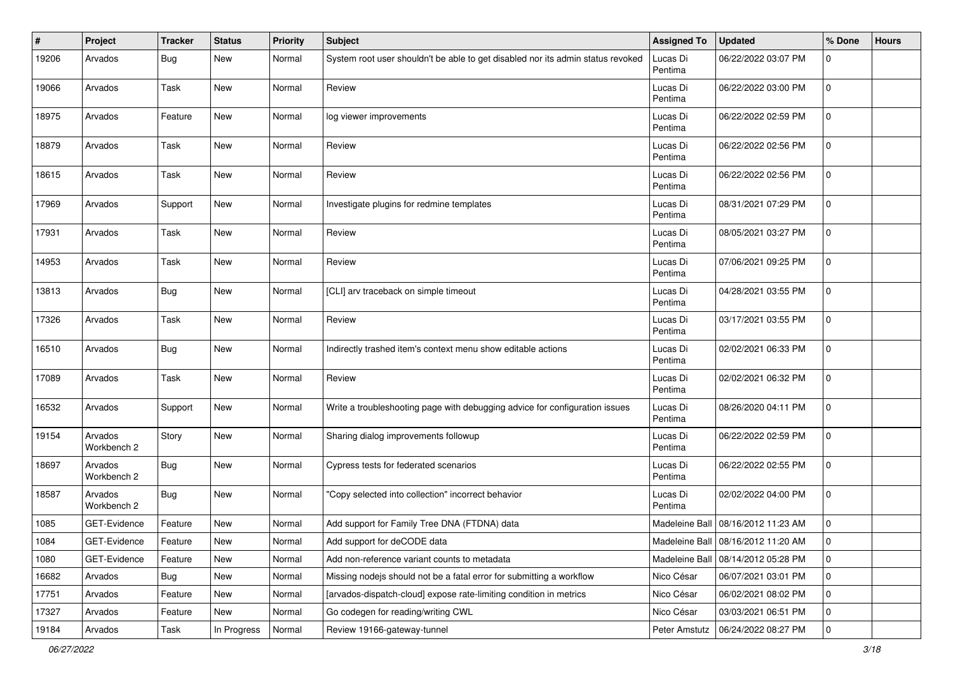| $\pmb{\#}$ | Project                | <b>Tracker</b> | <b>Status</b> | <b>Priority</b> | <b>Subject</b>                                                                  | <b>Assigned To</b>  | <b>Updated</b>                       | % Done      | <b>Hours</b> |
|------------|------------------------|----------------|---------------|-----------------|---------------------------------------------------------------------------------|---------------------|--------------------------------------|-------------|--------------|
| 19206      | Arvados                | Bug            | <b>New</b>    | Normal          | System root user shouldn't be able to get disabled nor its admin status revoked | Lucas Di<br>Pentima | 06/22/2022 03:07 PM                  | 0           |              |
| 19066      | Arvados                | <b>Task</b>    | New           | Normal          | Review                                                                          | Lucas Di<br>Pentima | 06/22/2022 03:00 PM                  | $\mathbf 0$ |              |
| 18975      | Arvados                | Feature        | <b>New</b>    | Normal          | log viewer improvements                                                         | Lucas Di<br>Pentima | 06/22/2022 02:59 PM                  | $\mathbf 0$ |              |
| 18879      | Arvados                | Task           | <b>New</b>    | Normal          | Review                                                                          | Lucas Di<br>Pentima | 06/22/2022 02:56 PM                  | $\mathbf 0$ |              |
| 18615      | Arvados                | Task           | New           | Normal          | Review                                                                          | Lucas Di<br>Pentima | 06/22/2022 02:56 PM                  | $\mathbf 0$ |              |
| 17969      | Arvados                | Support        | New           | Normal          | Investigate plugins for redmine templates                                       | Lucas Di<br>Pentima | 08/31/2021 07:29 PM                  | $\mathbf 0$ |              |
| 17931      | Arvados                | Task           | <b>New</b>    | Normal          | Review                                                                          | Lucas Di<br>Pentima | 08/05/2021 03:27 PM                  | $\mathbf 0$ |              |
| 14953      | Arvados                | <b>Task</b>    | <b>New</b>    | Normal          | Review                                                                          | Lucas Di<br>Pentima | 07/06/2021 09:25 PM                  | $\mathbf 0$ |              |
| 13813      | Arvados                | Bug            | New           | Normal          | [CLI] arv traceback on simple timeout                                           | Lucas Di<br>Pentima | 04/28/2021 03:55 PM                  | 0           |              |
| 17326      | Arvados                | <b>Task</b>    | <b>New</b>    | Normal          | Review                                                                          | Lucas Di<br>Pentima | 03/17/2021 03:55 PM                  | $\mathbf 0$ |              |
| 16510      | Arvados                | <b>Bug</b>     | <b>New</b>    | Normal          | Indirectly trashed item's context menu show editable actions                    | Lucas Di<br>Pentima | 02/02/2021 06:33 PM                  | $\mathbf 0$ |              |
| 17089      | Arvados                | Task           | <b>New</b>    | Normal          | Review                                                                          | Lucas Di<br>Pentima | 02/02/2021 06:32 PM                  | $\mathbf 0$ |              |
| 16532      | Arvados                | Support        | New           | Normal          | Write a troubleshooting page with debugging advice for configuration issues     | Lucas Di<br>Pentima | 08/26/2020 04:11 PM                  | $\mathbf 0$ |              |
| 19154      | Arvados<br>Workbench 2 | Story          | <b>New</b>    | Normal          | Sharing dialog improvements followup                                            | Lucas Di<br>Pentima | 06/22/2022 02:59 PM                  | $\mathbf 0$ |              |
| 18697      | Arvados<br>Workbench 2 | Bug            | <b>New</b>    | Normal          | Cypress tests for federated scenarios                                           | Lucas Di<br>Pentima | 06/22/2022 02:55 PM                  | $\mathbf 0$ |              |
| 18587      | Arvados<br>Workbench 2 | Bug            | New           | Normal          | "Copy selected into collection" incorrect behavior                              | Lucas Di<br>Pentima | 02/02/2022 04:00 PM                  | $\mathbf 0$ |              |
| 1085       | GET-Evidence           | Feature        | New           | Normal          | Add support for Family Tree DNA (FTDNA) data                                    |                     | Madeleine Ball   08/16/2012 11:23 AM | 0           |              |
| 1084       | GET-Evidence           | Feature        | New           | Normal          | Add support for deCODE data                                                     |                     | Madeleine Ball   08/16/2012 11:20 AM | $\pmb{0}$   |              |
| 1080       | GET-Evidence           | Feature        | New           | Normal          | Add non-reference variant counts to metadata                                    | Madeleine Ball      | 08/14/2012 05:28 PM                  | $\mathbf 0$ |              |
| 16682      | Arvados                | Bug            | New           | Normal          | Missing nodejs should not be a fatal error for submitting a workflow            | Nico César          | 06/07/2021 03:01 PM                  | 0           |              |
| 17751      | Arvados                | Feature        | New           | Normal          | [arvados-dispatch-cloud] expose rate-limiting condition in metrics              | Nico César          | 06/02/2021 08:02 PM                  | 0           |              |
| 17327      | Arvados                | Feature        | New           | Normal          | Go codegen for reading/writing CWL                                              | Nico César          | 03/03/2021 06:51 PM                  | 0           |              |
| 19184      | Arvados                | Task           | In Progress   | Normal          | Review 19166-gateway-tunnel                                                     | Peter Amstutz       | 06/24/2022 08:27 PM                  | 0           |              |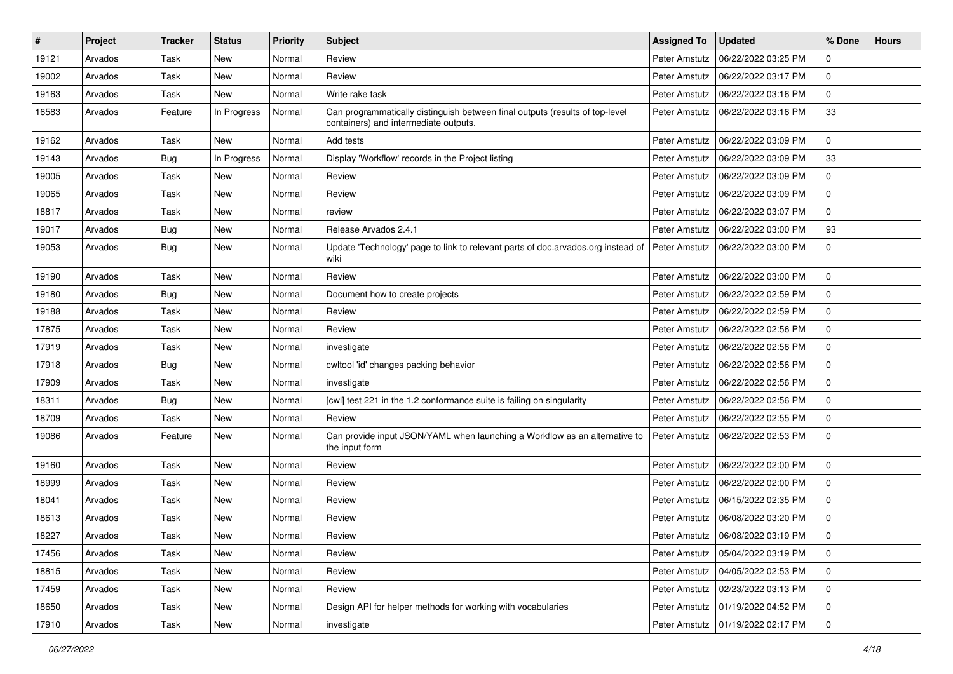| #     | Project | <b>Tracker</b> | <b>Status</b> | Priority | Subject                                                                                                               | <b>Assigned To</b> | <b>Updated</b>                      | % Done      | <b>Hours</b> |
|-------|---------|----------------|---------------|----------|-----------------------------------------------------------------------------------------------------------------------|--------------------|-------------------------------------|-------------|--------------|
| 19121 | Arvados | Task           | New           | Normal   | Review                                                                                                                | Peter Amstutz      | 06/22/2022 03:25 PM                 | 0           |              |
| 19002 | Arvados | Task           | <b>New</b>    | Normal   | Review                                                                                                                | Peter Amstutz      | 06/22/2022 03:17 PM                 | 0           |              |
| 19163 | Arvados | Task           | <b>New</b>    | Normal   | Write rake task                                                                                                       | Peter Amstutz      | 06/22/2022 03:16 PM                 | 0           |              |
| 16583 | Arvados | Feature        | In Progress   | Normal   | Can programmatically distinguish between final outputs (results of top-level<br>containers) and intermediate outputs. | Peter Amstutz      | 06/22/2022 03:16 PM                 | 33          |              |
| 19162 | Arvados | Task           | <b>New</b>    | Normal   | Add tests                                                                                                             | Peter Amstutz      | 06/22/2022 03:09 PM                 | 0           |              |
| 19143 | Arvados | <b>Bug</b>     | In Progress   | Normal   | Display 'Workflow' records in the Project listing                                                                     | Peter Amstutz      | 06/22/2022 03:09 PM                 | 33          |              |
| 19005 | Arvados | Task           | New           | Normal   | Review                                                                                                                | Peter Amstutz      | 06/22/2022 03:09 PM                 | 0           |              |
| 19065 | Arvados | Task           | <b>New</b>    | Normal   | Review                                                                                                                | Peter Amstutz      | 06/22/2022 03:09 PM                 | 0           |              |
| 18817 | Arvados | Task           | <b>New</b>    | Normal   | review                                                                                                                | Peter Amstutz      | 06/22/2022 03:07 PM                 | 0           |              |
| 19017 | Arvados | <b>Bug</b>     | New           | Normal   | Release Arvados 2.4.1                                                                                                 | Peter Amstutz      | 06/22/2022 03:00 PM                 | 93          |              |
| 19053 | Arvados | <b>Bug</b>     | New           | Normal   | Update 'Technology' page to link to relevant parts of doc.arvados.org instead of<br>wiki                              | Peter Amstutz      | 06/22/2022 03:00 PM                 | 0           |              |
| 19190 | Arvados | Task           | <b>New</b>    | Normal   | Review                                                                                                                | Peter Amstutz      | 06/22/2022 03:00 PM                 | 0           |              |
| 19180 | Arvados | <b>Bug</b>     | <b>New</b>    | Normal   | Document how to create projects                                                                                       | Peter Amstutz      | 06/22/2022 02:59 PM                 | 0           |              |
| 19188 | Arvados | Task           | New           | Normal   | Review                                                                                                                | Peter Amstutz      | 06/22/2022 02:59 PM                 | 0           |              |
| 17875 | Arvados | Task           | <b>New</b>    | Normal   | Review                                                                                                                | Peter Amstutz      | 06/22/2022 02:56 PM                 | 0           |              |
| 17919 | Arvados | Task           | <b>New</b>    | Normal   | investigate                                                                                                           | Peter Amstutz      | 06/22/2022 02:56 PM                 | 0           |              |
| 17918 | Arvados | <b>Bug</b>     | <b>New</b>    | Normal   | cwltool 'id' changes packing behavior                                                                                 | Peter Amstutz      | 06/22/2022 02:56 PM                 | 0           |              |
| 17909 | Arvados | Task           | New           | Normal   | investigate                                                                                                           | Peter Amstutz      | 06/22/2022 02:56 PM                 | 0           |              |
| 18311 | Arvados | Bug            | New           | Normal   | [cwl] test 221 in the 1.2 conformance suite is failing on singularity                                                 | Peter Amstutz      | 06/22/2022 02:56 PM                 | 0           |              |
| 18709 | Arvados | Task           | New           | Normal   | Review                                                                                                                | Peter Amstutz      | 06/22/2022 02:55 PM                 | 0           |              |
| 19086 | Arvados | Feature        | <b>New</b>    | Normal   | Can provide input JSON/YAML when launching a Workflow as an alternative to<br>the input form                          | Peter Amstutz      | 06/22/2022 02:53 PM                 | 0           |              |
| 19160 | Arvados | Task           | <b>New</b>    | Normal   | Review                                                                                                                | Peter Amstutz      | 06/22/2022 02:00 PM                 | 0           |              |
| 18999 | Arvados | Task           | New           | Normal   | Review                                                                                                                | Peter Amstutz      | 06/22/2022 02:00 PM                 | 0           |              |
| 18041 | Arvados | Task           | <b>New</b>    | Normal   | Review                                                                                                                | Peter Amstutz      | 06/15/2022 02:35 PM                 | 0           |              |
| 18613 | Arvados | Task           | <b>New</b>    | Normal   | Review                                                                                                                | Peter Amstutz      | 06/08/2022 03:20 PM                 | 0           |              |
| 18227 | Arvados | Task           | New           | Normal   | Review                                                                                                                |                    | Peter Amstutz   06/08/2022 03:19 PM | $\Omega$    |              |
| 17456 | Arvados | Task           | New           | Normal   | Review                                                                                                                | Peter Amstutz      | 05/04/2022 03:19 PM                 | 0           |              |
| 18815 | Arvados | Task           | <b>New</b>    | Normal   | Review                                                                                                                | Peter Amstutz      | 04/05/2022 02:53 PM                 | 0           |              |
| 17459 | Arvados | Task           | New           | Normal   | Review                                                                                                                | Peter Amstutz      | 02/23/2022 03:13 PM                 | 0           |              |
| 18650 | Arvados | Task           | New           | Normal   | Design API for helper methods for working with vocabularies                                                           | Peter Amstutz      | 01/19/2022 04:52 PM                 | 0           |              |
| 17910 | Arvados | Task           | New           | Normal   | investigate                                                                                                           | Peter Amstutz      | 01/19/2022 02:17 PM                 | $\mathbf 0$ |              |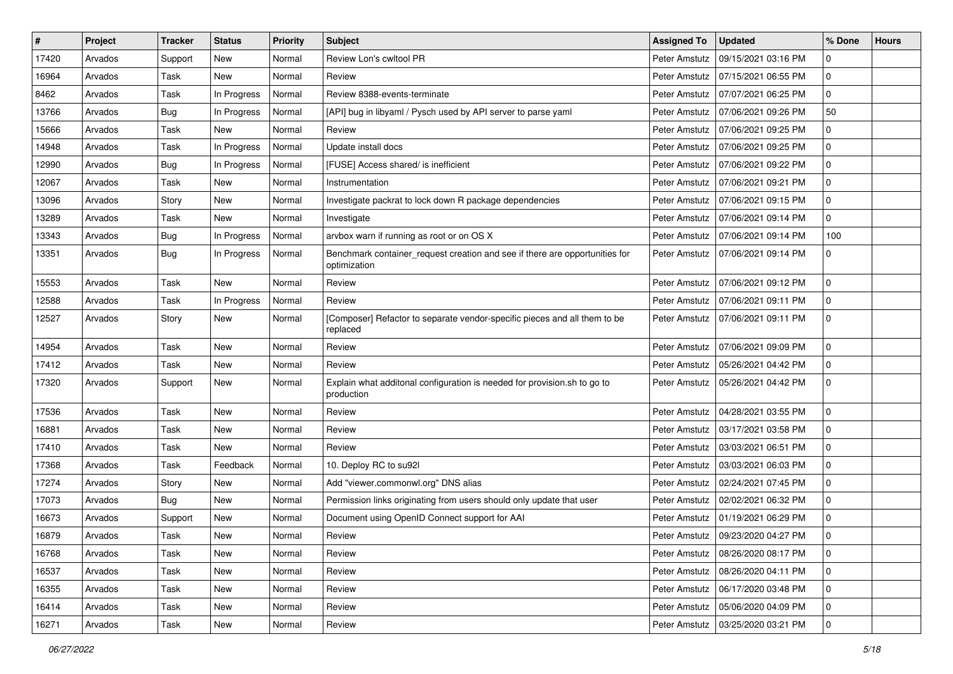| #     | Project | <b>Tracker</b> | <b>Status</b> | Priority | <b>Subject</b>                                                                              | <b>Assigned To</b> | <b>Updated</b>                      | % Done      | <b>Hours</b> |
|-------|---------|----------------|---------------|----------|---------------------------------------------------------------------------------------------|--------------------|-------------------------------------|-------------|--------------|
| 17420 | Arvados | Support        | New           | Normal   | Review Lon's cwltool PR                                                                     | Peter Amstutz      | 09/15/2021 03:16 PM                 | 0           |              |
| 16964 | Arvados | Task           | <b>New</b>    | Normal   | Review                                                                                      | Peter Amstutz      | 07/15/2021 06:55 PM                 | 0           |              |
| 8462  | Arvados | Task           | In Progress   | Normal   | Review 8388-events-terminate                                                                | Peter Amstutz      | 07/07/2021 06:25 PM                 | 0           |              |
| 13766 | Arvados | Bug            | In Progress   | Normal   | [API] bug in libyaml / Pysch used by API server to parse yaml                               | Peter Amstutz      | 07/06/2021 09:26 PM                 | 50          |              |
| 15666 | Arvados | Task           | <b>New</b>    | Normal   | Review                                                                                      | Peter Amstutz      | 07/06/2021 09:25 PM                 | 0           |              |
| 14948 | Arvados | Task           | In Progress   | Normal   | Update install docs                                                                         | Peter Amstutz      | 07/06/2021 09:25 PM                 | 0           |              |
| 12990 | Arvados | Bug            | In Progress   | Normal   | [FUSE] Access shared/ is inefficient                                                        | Peter Amstutz      | 07/06/2021 09:22 PM                 | 0           |              |
| 12067 | Arvados | Task           | New           | Normal   | Instrumentation                                                                             | Peter Amstutz      | 07/06/2021 09:21 PM                 | 0           |              |
| 13096 | Arvados | Story          | <b>New</b>    | Normal   | Investigate packrat to lock down R package dependencies                                     | Peter Amstutz      | 07/06/2021 09:15 PM                 | 0           |              |
| 13289 | Arvados | Task           | New           | Normal   | Investigate                                                                                 | Peter Amstutz      | 07/06/2021 09:14 PM                 | 0           |              |
| 13343 | Arvados | Bug            | In Progress   | Normal   | arvbox warn if running as root or on OS X                                                   | Peter Amstutz      | 07/06/2021 09:14 PM                 | 100         |              |
| 13351 | Arvados | Bug            | In Progress   | Normal   | Benchmark container_request creation and see if there are opportunities for<br>optimization | Peter Amstutz      | 07/06/2021 09:14 PM                 | 0           |              |
| 15553 | Arvados | Task           | New           | Normal   | Review                                                                                      | Peter Amstutz      | 07/06/2021 09:12 PM                 | 0           |              |
| 12588 | Arvados | Task           | In Progress   | Normal   | Review                                                                                      | Peter Amstutz      | 07/06/2021 09:11 PM                 | 0           |              |
| 12527 | Arvados | Story          | New           | Normal   | [Composer] Refactor to separate vendor-specific pieces and all them to be<br>replaced       | Peter Amstutz      | 07/06/2021 09:11 PM                 | 0           |              |
| 14954 | Arvados | Task           | New           | Normal   | Review                                                                                      | Peter Amstutz      | 07/06/2021 09:09 PM                 | 0           |              |
| 17412 | Arvados | Task           | New           | Normal   | Review                                                                                      | Peter Amstutz      | 05/26/2021 04:42 PM                 | 0           |              |
| 17320 | Arvados | Support        | New           | Normal   | Explain what additonal configuration is needed for provision.sh to go to<br>production      | Peter Amstutz      | 05/26/2021 04:42 PM                 | 0           |              |
| 17536 | Arvados | Task           | New           | Normal   | Review                                                                                      | Peter Amstutz      | 04/28/2021 03:55 PM                 | 0           |              |
| 16881 | Arvados | Task           | <b>New</b>    | Normal   | Review                                                                                      | Peter Amstutz      | 03/17/2021 03:58 PM                 | 0           |              |
| 17410 | Arvados | Task           | New           | Normal   | Review                                                                                      | Peter Amstutz      | 03/03/2021 06:51 PM                 | 0           |              |
| 17368 | Arvados | Task           | Feedback      | Normal   | 10. Deploy RC to su92l                                                                      | Peter Amstutz      | 03/03/2021 06:03 PM                 | 0           |              |
| 17274 | Arvados | Story          | New           | Normal   | Add "viewer.commonwl.org" DNS alias                                                         | Peter Amstutz      | 02/24/2021 07:45 PM                 | 0           |              |
| 17073 | Arvados | Bug            | New           | Normal   | Permission links originating from users should only update that user                        | Peter Amstutz      | 02/02/2021 06:32 PM                 | 0           |              |
| 16673 | Arvados | Support        | <b>New</b>    | Normal   | Document using OpenID Connect support for AAI                                               | Peter Amstutz      | 01/19/2021 06:29 PM                 | 0           |              |
| 16879 | Arvados | Task           | New           | Normal   | Review                                                                                      |                    | Peter Amstutz   09/23/2020 04:27 PM | $\mathbf 0$ |              |
| 16768 | Arvados | Task           | New           | Normal   | Review                                                                                      |                    | Peter Amstutz   08/26/2020 08:17 PM | 0           |              |
| 16537 | Arvados | Task           | New           | Normal   | Review                                                                                      |                    | Peter Amstutz   08/26/2020 04:11 PM | $\mathbf 0$ |              |
| 16355 | Arvados | Task           | New           | Normal   | Review                                                                                      |                    | Peter Amstutz   06/17/2020 03:48 PM | $\mathbf 0$ |              |
| 16414 | Arvados | Task           | New           | Normal   | Review                                                                                      |                    | Peter Amstutz   05/06/2020 04:09 PM | 0           |              |
| 16271 | Arvados | Task           | New           | Normal   | Review                                                                                      |                    | Peter Amstutz   03/25/2020 03:21 PM | $\mathbf 0$ |              |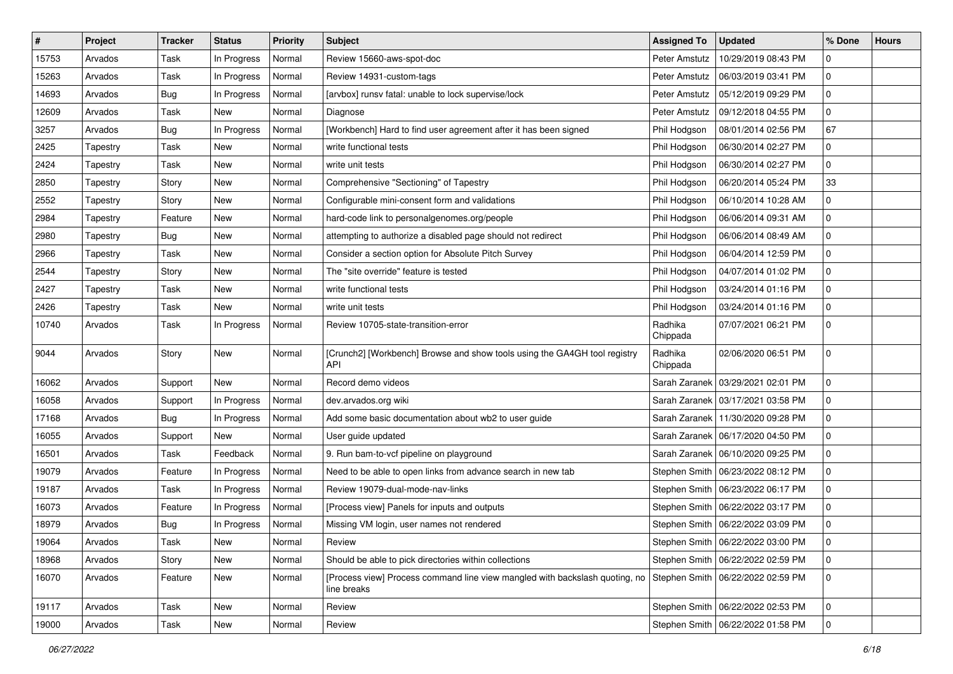| $\vert$ # | Project  | <b>Tracker</b> | <b>Status</b> | <b>Priority</b> | <b>Subject</b>                                                                             | <b>Assigned To</b>  | <b>Updated</b>                      | % Done         | <b>Hours</b> |
|-----------|----------|----------------|---------------|-----------------|--------------------------------------------------------------------------------------------|---------------------|-------------------------------------|----------------|--------------|
| 15753     | Arvados  | Task           | In Progress   | Normal          | Review 15660-aws-spot-doc                                                                  | Peter Amstutz       | 10/29/2019 08:43 PM                 | $\mathbf 0$    |              |
| 15263     | Arvados  | Task           | In Progress   | Normal          | Review 14931-custom-tags                                                                   | Peter Amstutz       | 06/03/2019 03:41 PM                 | 0              |              |
| 14693     | Arvados  | Bug            | In Progress   | Normal          | [arvbox] runsv fatal: unable to lock supervise/lock                                        | Peter Amstutz       | 05/12/2019 09:29 PM                 | $\mathbf 0$    |              |
| 12609     | Arvados  | Task           | New           | Normal          | Diagnose                                                                                   | Peter Amstutz       | 09/12/2018 04:55 PM                 | 0              |              |
| 3257      | Arvados  | Bug            | In Progress   | Normal          | [Workbench] Hard to find user agreement after it has been signed                           | Phil Hodgson        | 08/01/2014 02:56 PM                 | 67             |              |
| 2425      | Tapestry | Task           | <b>New</b>    | Normal          | write functional tests                                                                     | Phil Hodgson        | 06/30/2014 02:27 PM                 | 0              |              |
| 2424      | Tapestry | Task           | <b>New</b>    | Normal          | write unit tests                                                                           | Phil Hodgson        | 06/30/2014 02:27 PM                 | 0              |              |
| 2850      | Tapestry | Story          | <b>New</b>    | Normal          | Comprehensive "Sectioning" of Tapestry                                                     | Phil Hodgson        | 06/20/2014 05:24 PM                 | 33             |              |
| 2552      | Tapestry | Story          | <b>New</b>    | Normal          | Configurable mini-consent form and validations                                             | Phil Hodgson        | 06/10/2014 10:28 AM                 | 0              |              |
| 2984      | Tapestry | Feature        | <b>New</b>    | Normal          | hard-code link to personalgenomes.org/people                                               | Phil Hodgson        | 06/06/2014 09:31 AM                 | 0              |              |
| 2980      | Tapestry | Bug            | <b>New</b>    | Normal          | attempting to authorize a disabled page should not redirect                                | Phil Hodgson        | 06/06/2014 08:49 AM                 | 0              |              |
| 2966      | Tapestry | <b>Task</b>    | <b>New</b>    | Normal          | Consider a section option for Absolute Pitch Survey                                        | Phil Hodgson        | 06/04/2014 12:59 PM                 | 0              |              |
| 2544      | Tapestry | Story          | <b>New</b>    | Normal          | The "site override" feature is tested                                                      | Phil Hodgson        | 04/07/2014 01:02 PM                 | $\mathbf 0$    |              |
| 2427      | Tapestry | Task           | <b>New</b>    | Normal          | write functional tests                                                                     | Phil Hodgson        | 03/24/2014 01:16 PM                 | 0              |              |
| 2426      | Tapestry | Task           | <b>New</b>    | Normal          | write unit tests                                                                           | Phil Hodgson        | 03/24/2014 01:16 PM                 | 0              |              |
| 10740     | Arvados  | Task           | In Progress   | Normal          | Review 10705-state-transition-error                                                        | Radhika<br>Chippada | 07/07/2021 06:21 PM                 | $\mathbf 0$    |              |
| 9044      | Arvados  | Story          | <b>New</b>    | Normal          | [Crunch2] [Workbench] Browse and show tools using the GA4GH tool registry<br>API           | Radhika<br>Chippada | 02/06/2020 06:51 PM                 | $\mathbf 0$    |              |
| 16062     | Arvados  | Support        | <b>New</b>    | Normal          | Record demo videos                                                                         | Sarah Zaranek       | 03/29/2021 02:01 PM                 | $\mathbf 0$    |              |
| 16058     | Arvados  | Support        | In Progress   | Normal          | dev.arvados.org wiki                                                                       | Sarah Zaranek       | 03/17/2021 03:58 PM                 | 0              |              |
| 17168     | Arvados  | Bug            | In Progress   | Normal          | Add some basic documentation about wb2 to user guide                                       |                     | Sarah Zaranek   11/30/2020 09:28 PM | 0              |              |
| 16055     | Arvados  | Support        | New           | Normal          | User guide updated                                                                         |                     | Sarah Zaranek   06/17/2020 04:50 PM | 0              |              |
| 16501     | Arvados  | Task           | Feedback      | Normal          | 9. Run bam-to-vcf pipeline on playground                                                   |                     | Sarah Zaranek   06/10/2020 09:25 PM | $\mathbf 0$    |              |
| 19079     | Arvados  | Feature        | In Progress   | Normal          | Need to be able to open links from advance search in new tab                               |                     | Stephen Smith   06/23/2022 08:12 PM | 0              |              |
| 19187     | Arvados  | Task           | In Progress   | Normal          | Review 19079-dual-mode-nav-links                                                           | Stephen Smith       | 06/23/2022 06:17 PM                 | 0              |              |
| 16073     | Arvados  | Feature        | In Progress   | Normal          | [Process view] Panels for inputs and outputs                                               | Stephen Smith       | 06/22/2022 03:17 PM                 | 0              |              |
| 18979     | Arvados  | Bug            | In Progress   | Normal          | Missing VM login, user names not rendered                                                  | Stephen Smith       | 06/22/2022 03:09 PM                 | 0              |              |
| 19064     | Arvados  | Task           | New           | Normal          | Review                                                                                     |                     | Stephen Smith   06/22/2022 03:00 PM | $\overline{0}$ |              |
| 18968     | Arvados  | Story          | New           | Normal          | Should be able to pick directories within collections                                      | Stephen Smith       | 06/22/2022 02:59 PM                 | 0              |              |
| 16070     | Arvados  | Feature        | New           | Normal          | [Process view] Process command line view mangled with backslash quoting, no<br>line breaks | Stephen Smith       | 06/22/2022 02:59 PM                 | 0              |              |
| 19117     | Arvados  | Task           | New           | Normal          | Review                                                                                     |                     | Stephen Smith   06/22/2022 02:53 PM | 0              |              |
| 19000     | Arvados  | Task           | New           | Normal          | Review                                                                                     | Stephen Smith       | 06/22/2022 01:58 PM                 | 0              |              |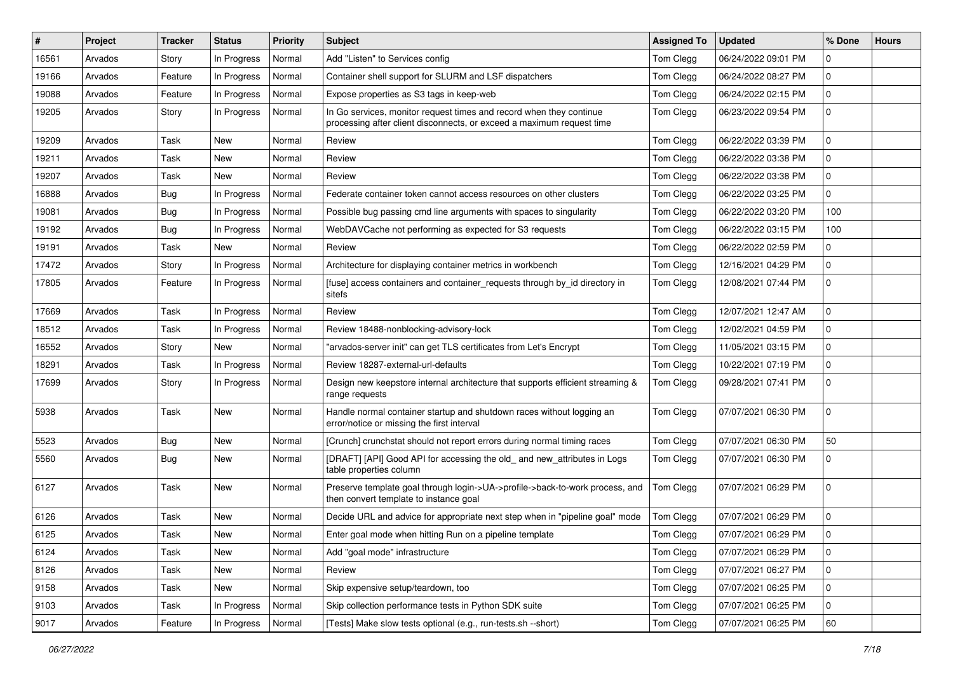| #     | Project | <b>Tracker</b> | <b>Status</b> | <b>Priority</b> | <b>Subject</b>                                                                                                                               | <b>Assigned To</b> | <b>Updated</b>      | % Done      | <b>Hours</b> |
|-------|---------|----------------|---------------|-----------------|----------------------------------------------------------------------------------------------------------------------------------------------|--------------------|---------------------|-------------|--------------|
| 16561 | Arvados | Story          | In Progress   | Normal          | Add "Listen" to Services config                                                                                                              | Tom Clegg          | 06/24/2022 09:01 PM | 0           |              |
| 19166 | Arvados | Feature        | In Progress   | Normal          | Container shell support for SLURM and LSF dispatchers                                                                                        | Tom Clegg          | 06/24/2022 08:27 PM | 0           |              |
| 19088 | Arvados | Feature        | In Progress   | Normal          | Expose properties as S3 tags in keep-web                                                                                                     | Tom Clegg          | 06/24/2022 02:15 PM | 0           |              |
| 19205 | Arvados | Story          | In Progress   | Normal          | In Go services, monitor request times and record when they continue<br>processing after client disconnects, or exceed a maximum request time | Tom Clegg          | 06/23/2022 09:54 PM | 0           |              |
| 19209 | Arvados | Task           | New           | Normal          | Review                                                                                                                                       | Tom Clegg          | 06/22/2022 03:39 PM | 0           |              |
| 19211 | Arvados | Task           | <b>New</b>    | Normal          | Review                                                                                                                                       | Tom Clegg          | 06/22/2022 03:38 PM | 0           |              |
| 19207 | Arvados | Task           | New           | Normal          | Review                                                                                                                                       | Tom Clegg          | 06/22/2022 03:38 PM | 0           |              |
| 16888 | Arvados | <b>Bug</b>     | In Progress   | Normal          | Federate container token cannot access resources on other clusters                                                                           | Tom Clegg          | 06/22/2022 03:25 PM | 0           |              |
| 19081 | Arvados | <b>Bug</b>     | In Progress   | Normal          | Possible bug passing cmd line arguments with spaces to singularity                                                                           | Tom Clegg          | 06/22/2022 03:20 PM | 100         |              |
| 19192 | Arvados | <b>Bug</b>     | In Progress   | Normal          | WebDAVCache not performing as expected for S3 requests                                                                                       | Tom Clegg          | 06/22/2022 03:15 PM | 100         |              |
| 19191 | Arvados | Task           | New           | Normal          | Review                                                                                                                                       | Tom Clegg          | 06/22/2022 02:59 PM | 0           |              |
| 17472 | Arvados | Story          | In Progress   | Normal          | Architecture for displaying container metrics in workbench                                                                                   | Tom Clegg          | 12/16/2021 04:29 PM | 0           |              |
| 17805 | Arvados | Feature        | In Progress   | Normal          | [fuse] access containers and container_requests through by_id directory in<br>sitefs                                                         | Tom Clegg          | 12/08/2021 07:44 PM | 0           |              |
| 17669 | Arvados | Task           | In Progress   | Normal          | Review                                                                                                                                       | Tom Clegg          | 12/07/2021 12:47 AM | 0           |              |
| 18512 | Arvados | Task           | In Progress   | Normal          | Review 18488-nonblocking-advisory-lock                                                                                                       | Tom Clegg          | 12/02/2021 04:59 PM | 0           |              |
| 16552 | Arvados | Story          | New           | Normal          | "arvados-server init" can get TLS certificates from Let's Encrypt                                                                            | Tom Clegg          | 11/05/2021 03:15 PM | 0           |              |
| 18291 | Arvados | Task           | In Progress   | Normal          | Review 18287-external-url-defaults                                                                                                           | Tom Clegg          | 10/22/2021 07:19 PM | 0           |              |
| 17699 | Arvados | Story          | In Progress   | Normal          | Design new keepstore internal architecture that supports efficient streaming &<br>range requests                                             | Tom Clegg          | 09/28/2021 07:41 PM | 0           |              |
| 5938  | Arvados | Task           | New           | Normal          | Handle normal container startup and shutdown races without logging an<br>error/notice or missing the first interval                          | Tom Clegg          | 07/07/2021 06:30 PM | 0           |              |
| 5523  | Arvados | Bug            | New           | Normal          | [Crunch] crunchstat should not report errors during normal timing races                                                                      | Tom Clegg          | 07/07/2021 06:30 PM | 50          |              |
| 5560  | Arvados | <b>Bug</b>     | New           | Normal          | [DRAFT] [API] Good API for accessing the old_ and new_attributes in Logs<br>table properties column                                          | Tom Clegg          | 07/07/2021 06:30 PM | 0           |              |
| 6127  | Arvados | Task           | New           | Normal          | Preserve template goal through login->UA->profile->back-to-work process, and<br>then convert template to instance goal                       | Tom Clegg          | 07/07/2021 06:29 PM | 0           |              |
| 6126  | Arvados | Task           | <b>New</b>    | Normal          | Decide URL and advice for appropriate next step when in "pipeline goal" mode                                                                 | Tom Clegg          | 07/07/2021 06:29 PM | 0           |              |
| 6125  | Arvados | Task           | New           | Normal          | Enter goal mode when hitting Run on a pipeline template                                                                                      | Tom Clegg          | 07/07/2021 06:29 PM | $\mathbf 0$ |              |
| 6124  | Arvados | Task           | New           | Normal          | Add "goal mode" infrastructure                                                                                                               | Tom Clegg          | 07/07/2021 06:29 PM | $\mathbf 0$ |              |
| 8126  | Arvados | Task           | New           | Normal          | Review                                                                                                                                       | Tom Clegg          | 07/07/2021 06:27 PM | $\mathbf 0$ |              |
| 9158  | Arvados | Task           | New           | Normal          | Skip expensive setup/teardown, too                                                                                                           | Tom Clegg          | 07/07/2021 06:25 PM | 0           |              |
| 9103  | Arvados | Task           | In Progress   | Normal          | Skip collection performance tests in Python SDK suite                                                                                        | Tom Clegg          | 07/07/2021 06:25 PM | 0           |              |
| 9017  | Arvados | Feature        | In Progress   | Normal          | [Tests] Make slow tests optional (e.g., run-tests.sh --short)                                                                                | Tom Clegg          | 07/07/2021 06:25 PM | 60          |              |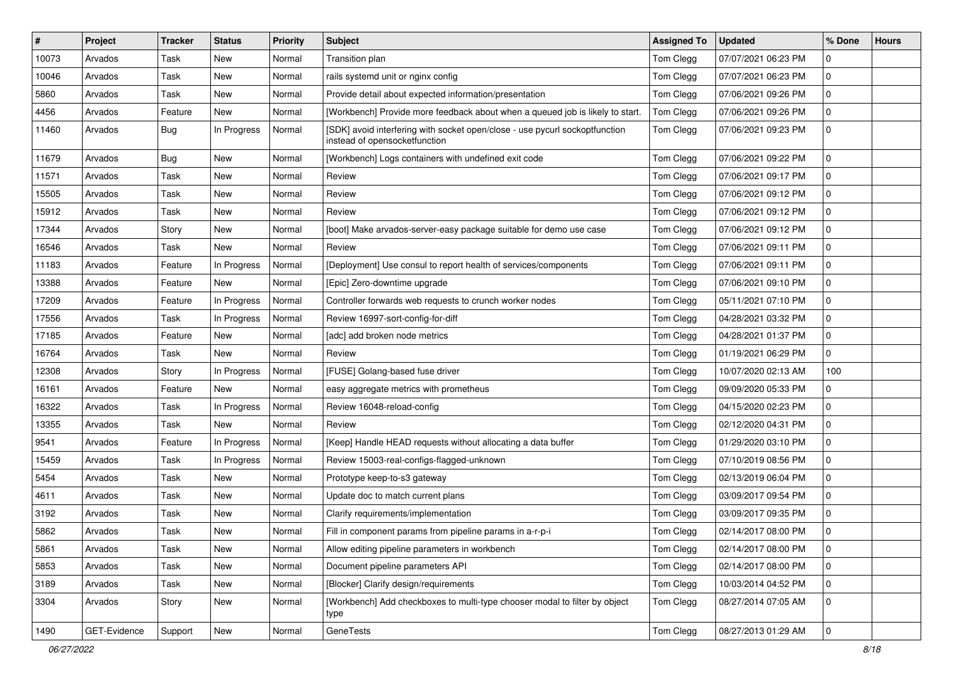| $\#$  | Project      | <b>Tracker</b> | <b>Status</b> | Priority | Subject                                                                                                      | <b>Assigned To</b> | <b>Updated</b>      | % Done      | <b>Hours</b> |
|-------|--------------|----------------|---------------|----------|--------------------------------------------------------------------------------------------------------------|--------------------|---------------------|-------------|--------------|
| 10073 | Arvados      | Task           | New           | Normal   | Transition plan                                                                                              | Tom Clegg          | 07/07/2021 06:23 PM | 0           |              |
| 10046 | Arvados      | Task           | <b>New</b>    | Normal   | rails systemd unit or nginx config                                                                           | Tom Clegg          | 07/07/2021 06:23 PM | 0           |              |
| 5860  | Arvados      | Task           | New           | Normal   | Provide detail about expected information/presentation                                                       | Tom Clegg          | 07/06/2021 09:26 PM | 0           |              |
| 4456  | Arvados      | Feature        | <b>New</b>    | Normal   | [Workbench] Provide more feedback about when a queued job is likely to start.                                | Tom Clegg          | 07/06/2021 09:26 PM | 0           |              |
| 11460 | Arvados      | Bug            | In Progress   | Normal   | [SDK] avoid interfering with socket open/close - use pycurl sockoptfunction<br>instead of opensocketfunction | Tom Clegg          | 07/06/2021 09:23 PM | 0           |              |
| 11679 | Arvados      | Bug            | <b>New</b>    | Normal   | [Workbench] Logs containers with undefined exit code                                                         | Tom Clegg          | 07/06/2021 09:22 PM | 0           |              |
| 11571 | Arvados      | Task           | New           | Normal   | Review                                                                                                       | Tom Clegg          | 07/06/2021 09:17 PM | 0           |              |
| 15505 | Arvados      | Task           | New           | Normal   | Review                                                                                                       | Tom Clegg          | 07/06/2021 09:12 PM | 0           |              |
| 15912 | Arvados      | Task           | New           | Normal   | Review                                                                                                       | Tom Clegg          | 07/06/2021 09:12 PM | 0           |              |
| 17344 | Arvados      | Story          | New           | Normal   | [boot] Make arvados-server-easy package suitable for demo use case                                           | Tom Clegg          | 07/06/2021 09:12 PM | 0           |              |
| 16546 | Arvados      | Task           | <b>New</b>    | Normal   | Review                                                                                                       | Tom Clegg          | 07/06/2021 09:11 PM | 0           |              |
| 11183 | Arvados      | Feature        | In Progress   | Normal   | [Deployment] Use consul to report health of services/components                                              | Tom Clegg          | 07/06/2021 09:11 PM | 0           |              |
| 13388 | Arvados      | Feature        | New           | Normal   | [Epic] Zero-downtime upgrade                                                                                 | Tom Clegg          | 07/06/2021 09:10 PM | 0           |              |
| 17209 | Arvados      | Feature        | In Progress   | Normal   | Controller forwards web requests to crunch worker nodes                                                      | Tom Clegg          | 05/11/2021 07:10 PM | 0           |              |
| 17556 | Arvados      | Task           | In Progress   | Normal   | Review 16997-sort-config-for-diff                                                                            | Tom Clegg          | 04/28/2021 03:32 PM | 0           |              |
| 17185 | Arvados      | Feature        | <b>New</b>    | Normal   | [adc] add broken node metrics                                                                                | Tom Clegg          | 04/28/2021 01:37 PM | 0           |              |
| 16764 | Arvados      | Task           | <b>New</b>    | Normal   | Review                                                                                                       | Tom Clegg          | 01/19/2021 06:29 PM | 0           |              |
| 12308 | Arvados      | Story          | In Progress   | Normal   | [FUSE] Golang-based fuse driver                                                                              | Tom Clegg          | 10/07/2020 02:13 AM | 100         |              |
| 16161 | Arvados      | Feature        | <b>New</b>    | Normal   | easy aggregate metrics with prometheus                                                                       | Tom Clegg          | 09/09/2020 05:33 PM | 0           |              |
| 16322 | Arvados      | Task           | In Progress   | Normal   | Review 16048-reload-config                                                                                   | Tom Clegg          | 04/15/2020 02:23 PM | 0           |              |
| 13355 | Arvados      | Task           | New           | Normal   | Review                                                                                                       | Tom Clegg          | 02/12/2020 04:31 PM | 0           |              |
| 9541  | Arvados      | Feature        | In Progress   | Normal   | [Keep] Handle HEAD requests without allocating a data buffer                                                 | Tom Clegg          | 01/29/2020 03:10 PM | 0           |              |
| 15459 | Arvados      | Task           | In Progress   | Normal   | Review 15003-real-configs-flagged-unknown                                                                    | Tom Clegg          | 07/10/2019 08:56 PM | 0           |              |
| 5454  | Arvados      | Task           | New           | Normal   | Prototype keep-to-s3 gateway                                                                                 | Tom Clegg          | 02/13/2019 06:04 PM | 0           |              |
| 4611  | Arvados      | Task           | New           | Normal   | Update doc to match current plans                                                                            | Tom Clegg          | 03/09/2017 09:54 PM | 0           |              |
| 3192  | Arvados      | Task           | New           | Normal   | Clarify requirements/implementation                                                                          | Tom Clegg          | 03/09/2017 09:35 PM | 0           |              |
| 5862  | Arvados      | Task           | New           | Normal   | Fill in component params from pipeline params in a-r-p-i                                                     | Tom Clegg          | 02/14/2017 08:00 PM | 0           |              |
| 5861  | Arvados      | Task           | New           | Normal   | Allow editing pipeline parameters in workbench                                                               | Tom Clegg          | 02/14/2017 08:00 PM | $\mathbf 0$ |              |
| 5853  | Arvados      | Task           | New           | Normal   | Document pipeline parameters API                                                                             | Tom Clegg          | 02/14/2017 08:00 PM | 0           |              |
| 3189  | Arvados      | Task           | New           | Normal   | [Blocker] Clarify design/requirements                                                                        | Tom Clegg          | 10/03/2014 04:52 PM | 0           |              |
| 3304  | Arvados      | Story          | New           | Normal   | [Workbench] Add checkboxes to multi-type chooser modal to filter by object<br>type                           | Tom Clegg          | 08/27/2014 07:05 AM | 0           |              |
| 1490  | GET-Evidence | Support        | New           | Normal   | GeneTests                                                                                                    | Tom Clegg          | 08/27/2013 01:29 AM | $\mathbf 0$ |              |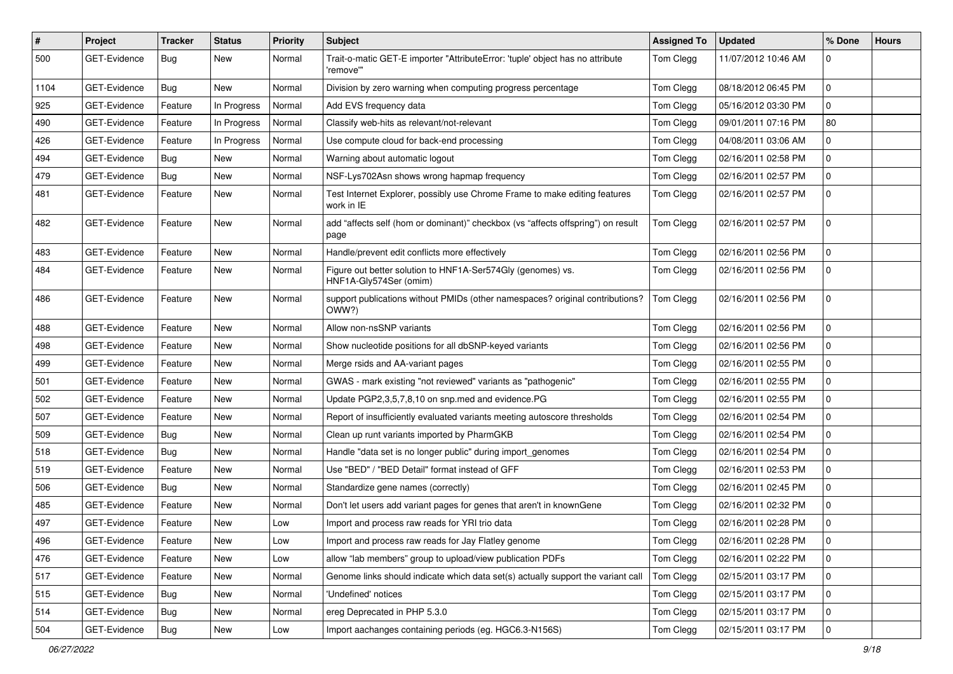| $\pmb{\#}$ | Project             | <b>Tracker</b> | <b>Status</b> | <b>Priority</b> | <b>Subject</b>                                                                             | <b>Assigned To</b> | <b>Updated</b>      | % Done      | <b>Hours</b> |
|------------|---------------------|----------------|---------------|-----------------|--------------------------------------------------------------------------------------------|--------------------|---------------------|-------------|--------------|
| 500        | <b>GET-Evidence</b> | Bug            | New           | Normal          | Trait-o-matic GET-E importer "AttributeError: 'tuple' object has no attribute<br>'remove'" | Tom Clegg          | 11/07/2012 10:46 AM | 0           |              |
| 1104       | GET-Evidence        | Bug            | New           | Normal          | Division by zero warning when computing progress percentage                                | Tom Clegg          | 08/18/2012 06:45 PM | 0           |              |
| 925        | GET-Evidence        | Feature        | In Progress   | Normal          | Add EVS frequency data                                                                     | Tom Clegg          | 05/16/2012 03:30 PM | 0           |              |
| 490        | <b>GET-Evidence</b> | Feature        | In Progress   | Normal          | Classify web-hits as relevant/not-relevant                                                 | Tom Clegg          | 09/01/2011 07:16 PM | 80          |              |
| 426        | GET-Evidence        | Feature        | In Progress   | Normal          | Use compute cloud for back-end processing                                                  | Tom Clegg          | 04/08/2011 03:06 AM | 0           |              |
| 494        | <b>GET-Evidence</b> | Bug            | New           | Normal          | Warning about automatic logout                                                             | Tom Clegg          | 02/16/2011 02:58 PM | 0           |              |
| 479        | <b>GET-Evidence</b> | Bug            | <b>New</b>    | Normal          | NSF-Lys702Asn shows wrong hapmap frequency                                                 | Tom Clegg          | 02/16/2011 02:57 PM | 0           |              |
| 481        | GET-Evidence        | Feature        | New           | Normal          | Test Internet Explorer, possibly use Chrome Frame to make editing features<br>work in IE   | Tom Clegg          | 02/16/2011 02:57 PM | 0           |              |
| 482        | GET-Evidence        | Feature        | <b>New</b>    | Normal          | add "affects self (hom or dominant)" checkbox (vs "affects offspring") on result<br>page   | Tom Clegg          | 02/16/2011 02:57 PM | 0           |              |
| 483        | GET-Evidence        | Feature        | <b>New</b>    | Normal          | Handle/prevent edit conflicts more effectively                                             | Tom Clegg          | 02/16/2011 02:56 PM | 0           |              |
| 484        | GET-Evidence        | Feature        | New           | Normal          | Figure out better solution to HNF1A-Ser574Gly (genomes) vs.<br>HNF1A-Gly574Ser (omim)      | Tom Clegg          | 02/16/2011 02:56 PM | 0           |              |
| 486        | GET-Evidence        | Feature        | <b>New</b>    | Normal          | support publications without PMIDs (other namespaces? original contributions?<br>OWW?)     | Tom Clegg          | 02/16/2011 02:56 PM | 0           |              |
| 488        | <b>GET-Evidence</b> | Feature        | <b>New</b>    | Normal          | Allow non-nsSNP variants                                                                   | Tom Clegg          | 02/16/2011 02:56 PM | 0           |              |
| 498        | GET-Evidence        | Feature        | <b>New</b>    | Normal          | Show nucleotide positions for all dbSNP-keyed variants                                     | Tom Clegg          | 02/16/2011 02:56 PM | 0           |              |
| 499        | GET-Evidence        | Feature        | <b>New</b>    | Normal          | Merge rsids and AA-variant pages                                                           | Tom Clegg          | 02/16/2011 02:55 PM | 0           |              |
| 501        | GET-Evidence        | Feature        | <b>New</b>    | Normal          | GWAS - mark existing "not reviewed" variants as "pathogenic"                               | Tom Clegg          | 02/16/2011 02:55 PM | 0           |              |
| 502        | GET-Evidence        | Feature        | New           | Normal          | Update PGP2,3,5,7,8,10 on snp.med and evidence.PG                                          | Tom Clegg          | 02/16/2011 02:55 PM | 0           |              |
| 507        | GET-Evidence        | Feature        | New           | Normal          | Report of insufficiently evaluated variants meeting autoscore thresholds                   | Tom Clegg          | 02/16/2011 02:54 PM | 0           |              |
| 509        | <b>GET-Evidence</b> | Bug            | <b>New</b>    | Normal          | Clean up runt variants imported by PharmGKB                                                | Tom Clegg          | 02/16/2011 02:54 PM | 0           |              |
| 518        | <b>GET-Evidence</b> | Bug            | New           | Normal          | Handle "data set is no longer public" during import_genomes                                | Tom Clegg          | 02/16/2011 02:54 PM | 0           |              |
| 519        | GET-Evidence        | Feature        | <b>New</b>    | Normal          | Use "BED" / "BED Detail" format instead of GFF                                             | Tom Clegg          | 02/16/2011 02:53 PM | 0           |              |
| 506        | <b>GET-Evidence</b> | Bug            | New           | Normal          | Standardize gene names (correctly)                                                         | Tom Clegg          | 02/16/2011 02:45 PM | 0           |              |
| 485        | GET-Evidence        | Feature        | <b>New</b>    | Normal          | Don't let users add variant pages for genes that aren't in knownGene                       | Tom Clegg          | 02/16/2011 02:32 PM | 0           |              |
| 497        | GET-Evidence        | Feature        | <b>New</b>    | Low             | Import and process raw reads for YRI trio data                                             | Tom Clegg          | 02/16/2011 02:28 PM | 0           |              |
| 496        | GET-Evidence        | Feature        | New           | Low             | Import and process raw reads for Jay Flatley genome                                        | Tom Clegg          | 02/16/2011 02:28 PM | 0           |              |
| 476        | GET-Evidence        | Feature        | New           | Low             | allow "lab members" group to upload/view publication PDFs                                  | Tom Clegg          | 02/16/2011 02:22 PM | $\mathbf 0$ |              |
| 517        | GET-Evidence        | Feature        | New           | Normal          | Genome links should indicate which data set(s) actually support the variant call           | Tom Clegg          | 02/15/2011 03:17 PM | 0           |              |
| 515        | GET-Evidence        | Bug            | New           | Normal          | 'Undefined' notices                                                                        | Tom Clegg          | 02/15/2011 03:17 PM | 0           |              |
| 514        | GET-Evidence        | Bug            | New           | Normal          | ereg Deprecated in PHP 5.3.0                                                               | Tom Clegg          | 02/15/2011 03:17 PM | 0           |              |
| 504        | GET-Evidence        | Bug            | New           | Low             | Import aachanges containing periods (eg. HGC6.3-N156S)                                     | Tom Clegg          | 02/15/2011 03:17 PM | 0           |              |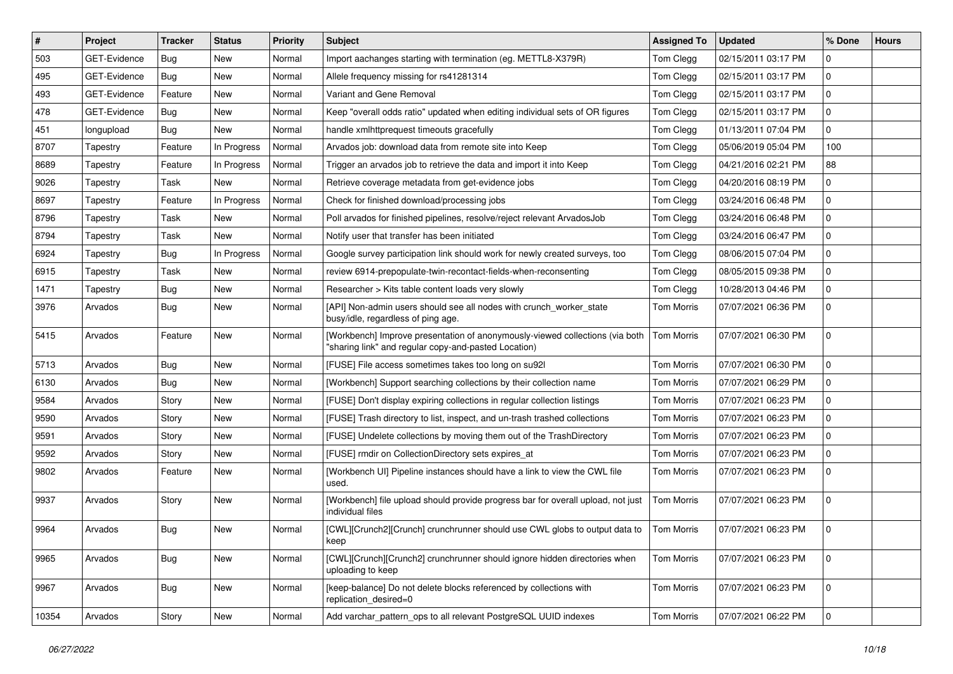| $\sharp$ | Project             | <b>Tracker</b> | <b>Status</b> | Priority | <b>Subject</b>                                                                                                                       | <b>Assigned To</b> | <b>Updated</b>      | % Done      | <b>Hours</b> |
|----------|---------------------|----------------|---------------|----------|--------------------------------------------------------------------------------------------------------------------------------------|--------------------|---------------------|-------------|--------------|
| 503      | <b>GET-Evidence</b> | Bug            | New           | Normal   | Import aachanges starting with termination (eg. METTL8-X379R)                                                                        | Tom Clegg          | 02/15/2011 03:17 PM | 0           |              |
| 495      | <b>GET-Evidence</b> | <b>Bug</b>     | New           | Normal   | Allele frequency missing for rs41281314                                                                                              | Tom Clegg          | 02/15/2011 03:17 PM | 0           |              |
| 493      | GET-Evidence        | Feature        | New           | Normal   | Variant and Gene Removal                                                                                                             | Tom Clegg          | 02/15/2011 03:17 PM | 0           |              |
| 478      | GET-Evidence        | Bug            | New           | Normal   | Keep "overall odds ratio" updated when editing individual sets of OR figures                                                         | Tom Clegg          | 02/15/2011 03:17 PM | 0           |              |
| 451      | longupload          | Bug            | <b>New</b>    | Normal   | handle xmlhttprequest timeouts gracefully                                                                                            | Tom Clegg          | 01/13/2011 07:04 PM | 0           |              |
| 8707     | Tapestry            | Feature        | In Progress   | Normal   | Arvados job: download data from remote site into Keep                                                                                | Tom Clegg          | 05/06/2019 05:04 PM | 100         |              |
| 8689     | Tapestry            | Feature        | In Progress   | Normal   | Trigger an arvados job to retrieve the data and import it into Keep                                                                  | Tom Clegg          | 04/21/2016 02:21 PM | 88          |              |
| 9026     | Tapestry            | Task           | New           | Normal   | Retrieve coverage metadata from get-evidence jobs                                                                                    | Tom Clegg          | 04/20/2016 08:19 PM | 0           |              |
| 8697     | Tapestry            | Feature        | In Progress   | Normal   | Check for finished download/processing jobs                                                                                          | Tom Clegg          | 03/24/2016 06:48 PM | 0           |              |
| 8796     | Tapestry            | Task           | New           | Normal   | Poll arvados for finished pipelines, resolve/reject relevant ArvadosJob                                                              | Tom Clegg          | 03/24/2016 06:48 PM | 0           |              |
| 8794     | Tapestry            | Task           | New           | Normal   | Notify user that transfer has been initiated                                                                                         | Tom Clegg          | 03/24/2016 06:47 PM | 0           |              |
| 6924     | Tapestry            | <b>Bug</b>     | In Progress   | Normal   | Google survey participation link should work for newly created surveys, too                                                          | Tom Clegg          | 08/06/2015 07:04 PM | 0           |              |
| 6915     | Tapestry            | Task           | New           | Normal   | review 6914-prepopulate-twin-recontact-fields-when-reconsenting                                                                      | Tom Clegg          | 08/05/2015 09:38 PM | 0           |              |
| 1471     | Tapestry            | <b>Bug</b>     | New           | Normal   | Researcher > Kits table content loads very slowly                                                                                    | Tom Clegg          | 10/28/2013 04:46 PM | 0           |              |
| 3976     | Arvados             | <b>Bug</b>     | New           | Normal   | [API] Non-admin users should see all nodes with crunch worker state<br>busy/idle, regardless of ping age.                            | Tom Morris         | 07/07/2021 06:36 PM | 0           |              |
| 5415     | Arvados             | Feature        | New           | Normal   | [Workbench] Improve presentation of anonymously-viewed collections (via both<br>"sharing link" and regular copy-and-pasted Location) | <b>Tom Morris</b>  | 07/07/2021 06:30 PM | 0           |              |
| 5713     | Arvados             | <b>Bug</b>     | New           | Normal   | [FUSE] File access sometimes takes too long on su921                                                                                 | <b>Tom Morris</b>  | 07/07/2021 06:30 PM | 0           |              |
| 6130     | Arvados             | Bug            | New           | Normal   | [Workbench] Support searching collections by their collection name                                                                   | <b>Tom Morris</b>  | 07/07/2021 06:29 PM | 0           |              |
| 9584     | Arvados             | Story          | New           | Normal   | [FUSE] Don't display expiring collections in regular collection listings                                                             | <b>Tom Morris</b>  | 07/07/2021 06:23 PM | 0           |              |
| 9590     | Arvados             | Story          | New           | Normal   | [FUSE] Trash directory to list, inspect, and un-trash trashed collections                                                            | <b>Tom Morris</b>  | 07/07/2021 06:23 PM | 0           |              |
| 9591     | Arvados             | Story          | New           | Normal   | [FUSE] Undelete collections by moving them out of the TrashDirectory                                                                 | <b>Tom Morris</b>  | 07/07/2021 06:23 PM | 0           |              |
| 9592     | Arvados             | Story          | New           | Normal   | [FUSE] rmdir on CollectionDirectory sets expires at                                                                                  | <b>Tom Morris</b>  | 07/07/2021 06:23 PM | 0           |              |
| 9802     | Arvados             | Feature        | New           | Normal   | [Workbench UI] Pipeline instances should have a link to view the CWL file<br>used.                                                   | <b>Tom Morris</b>  | 07/07/2021 06:23 PM | 0           |              |
| 9937     | Arvados             | Story          | New           | Normal   | [Workbench] file upload should provide progress bar for overall upload, not just<br>individual files                                 | <b>Tom Morris</b>  | 07/07/2021 06:23 PM | 0           |              |
| 9964     | Arvados             | Bug            | New           | Normal   | [CWL][Crunch2][Crunch] crunchrunner should use CWL globs to output data to<br>keep                                                   | <b>Tom Morris</b>  | 07/07/2021 06:23 PM | 0           |              |
| 9965     | Arvados             | <b>Bug</b>     | <b>New</b>    | Normal   | [CWL][Crunch][Crunch2] crunchrunner should ignore hidden directories when<br>uploading to keep                                       | <b>Tom Morris</b>  | 07/07/2021 06:23 PM | $\mathbf 0$ |              |
| 9967     | Arvados             | Bug            | New           | Normal   | [keep-balance] Do not delete blocks referenced by collections with<br>replication_desired=0                                          | <b>Tom Morris</b>  | 07/07/2021 06:23 PM | 0           |              |
| 10354    | Arvados             | Story          | New           | Normal   | Add varchar_pattern_ops to all relevant PostgreSQL UUID indexes                                                                      | Tom Morris         | 07/07/2021 06:22 PM | 0           |              |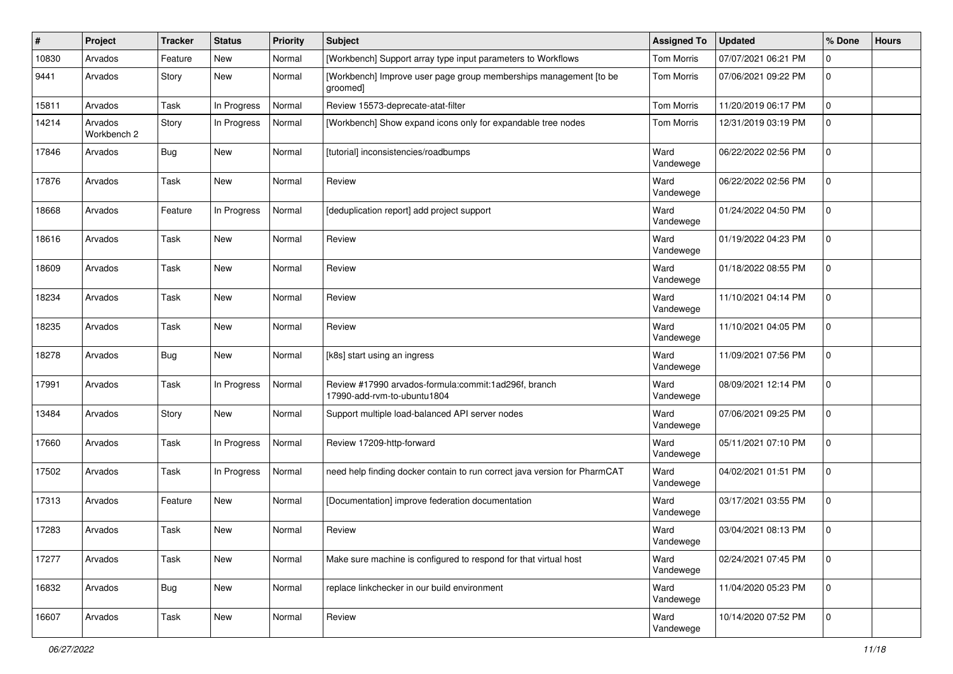| #     | Project                | <b>Tracker</b> | <b>Status</b> | <b>Priority</b> | Subject                                                                             | <b>Assigned To</b> | <b>Updated</b>      | % Done      | <b>Hours</b> |
|-------|------------------------|----------------|---------------|-----------------|-------------------------------------------------------------------------------------|--------------------|---------------------|-------------|--------------|
| 10830 | Arvados                | Feature        | New           | Normal          | [Workbench] Support array type input parameters to Workflows                        | <b>Tom Morris</b>  | 07/07/2021 06:21 PM | 0           |              |
| 9441  | Arvados                | Story          | New           | Normal          | [Workbench] Improve user page group memberships management [to be<br>groomed]       | Tom Morris         | 07/06/2021 09:22 PM | $\mathbf 0$ |              |
| 15811 | Arvados                | Task           | In Progress   | Normal          | Review 15573-deprecate-atat-filter                                                  | <b>Tom Morris</b>  | 11/20/2019 06:17 PM | $\mathbf 0$ |              |
| 14214 | Arvados<br>Workbench 2 | Story          | In Progress   | Normal          | [Workbench] Show expand icons only for expandable tree nodes                        | <b>Tom Morris</b>  | 12/31/2019 03:19 PM | $\mathbf 0$ |              |
| 17846 | Arvados                | Bug            | New           | Normal          | [tutorial] inconsistencies/roadbumps                                                | Ward<br>Vandewege  | 06/22/2022 02:56 PM | $\mathbf 0$ |              |
| 17876 | Arvados                | Task           | New           | Normal          | Review                                                                              | Ward<br>Vandewege  | 06/22/2022 02:56 PM | $\mathbf 0$ |              |
| 18668 | Arvados                | Feature        | In Progress   | Normal          | [deduplication report] add project support                                          | Ward<br>Vandewege  | 01/24/2022 04:50 PM | $\mathbf 0$ |              |
| 18616 | Arvados                | Task           | New           | Normal          | Review                                                                              | Ward<br>Vandewege  | 01/19/2022 04:23 PM | $\mathbf 0$ |              |
| 18609 | Arvados                | Task           | New           | Normal          | Review                                                                              | Ward<br>Vandewege  | 01/18/2022 08:55 PM | $\mathbf 0$ |              |
| 18234 | Arvados                | Task           | <b>New</b>    | Normal          | Review                                                                              | Ward<br>Vandewege  | 11/10/2021 04:14 PM | $\mathbf 0$ |              |
| 18235 | Arvados                | Task           | New           | Normal          | Review                                                                              | Ward<br>Vandewege  | 11/10/2021 04:05 PM | $\mathbf 0$ |              |
| 18278 | Arvados                | Bug            | New           | Normal          | [k8s] start using an ingress                                                        | Ward<br>Vandewege  | 11/09/2021 07:56 PM | 0           |              |
| 17991 | Arvados                | Task           | In Progress   | Normal          | Review #17990 arvados-formula:commit:1ad296f, branch<br>17990-add-rvm-to-ubuntu1804 | Ward<br>Vandewege  | 08/09/2021 12:14 PM | $\mathbf 0$ |              |
| 13484 | Arvados                | Story          | New           | Normal          | Support multiple load-balanced API server nodes                                     | Ward<br>Vandewege  | 07/06/2021 09:25 PM | $\mathbf 0$ |              |
| 17660 | Arvados                | Task           | In Progress   | Normal          | Review 17209-http-forward                                                           | Ward<br>Vandewege  | 05/11/2021 07:10 PM | $\mathbf 0$ |              |
| 17502 | Arvados                | Task           | In Progress   | Normal          | need help finding docker contain to run correct java version for PharmCAT           | Ward<br>Vandewege  | 04/02/2021 01:51 PM | $\mathbf 0$ |              |
| 17313 | Arvados                | Feature        | <b>New</b>    | Normal          | [Documentation] improve federation documentation                                    | Ward<br>Vandewege  | 03/17/2021 03:55 PM | $\mathbf 0$ |              |
| 17283 | Arvados                | Task           | <b>New</b>    | Normal          | Review                                                                              | Ward<br>Vandewege  | 03/04/2021 08:13 PM | 0           |              |
| 17277 | Arvados                | Task           | New           | Normal          | Make sure machine is configured to respond for that virtual host                    | Ward<br>Vandewege  | 02/24/2021 07:45 PM | $\mathbf 0$ |              |
| 16832 | Arvados                | <b>Bug</b>     | New           | Normal          | replace linkchecker in our build environment                                        | Ward<br>Vandewege  | 11/04/2020 05:23 PM | $\mathbf 0$ |              |
| 16607 | Arvados                | Task           | New           | Normal          | Review                                                                              | Ward<br>Vandewege  | 10/14/2020 07:52 PM | $\mathbf 0$ |              |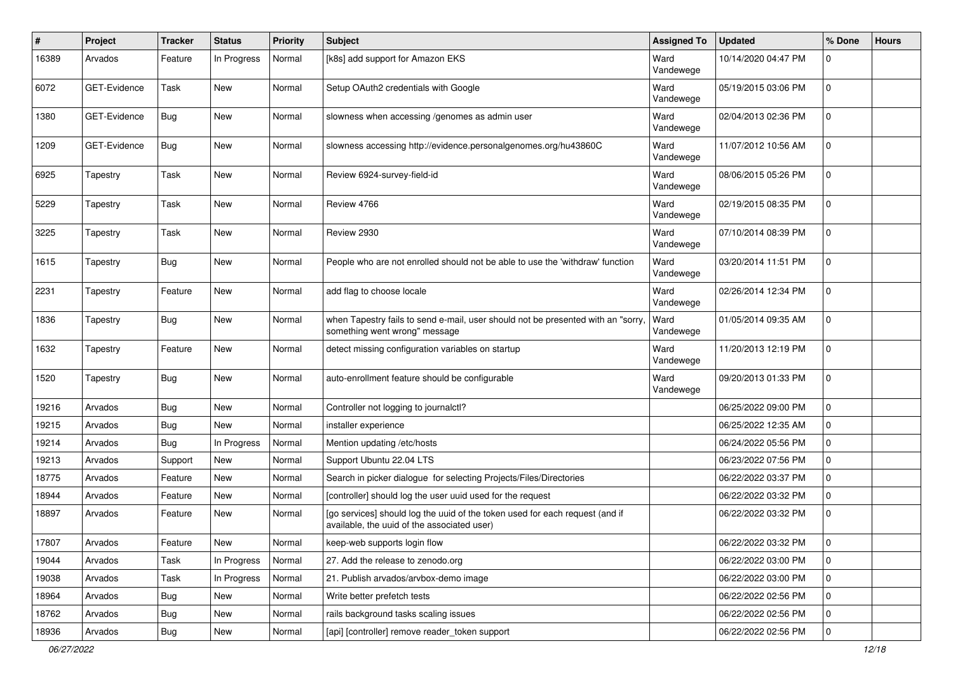| #     | Project      | <b>Tracker</b> | <b>Status</b> | <b>Priority</b> | Subject                                                                                                                     | <b>Assigned To</b> | <b>Updated</b>      | % Done      | <b>Hours</b> |
|-------|--------------|----------------|---------------|-----------------|-----------------------------------------------------------------------------------------------------------------------------|--------------------|---------------------|-------------|--------------|
| 16389 | Arvados      | Feature        | In Progress   | Normal          | [k8s] add support for Amazon EKS                                                                                            | Ward<br>Vandewege  | 10/14/2020 04:47 PM | 0           |              |
| 6072  | GET-Evidence | Task           | <b>New</b>    | Normal          | Setup OAuth2 credentials with Google                                                                                        | Ward<br>Vandewege  | 05/19/2015 03:06 PM | 0           |              |
| 1380  | GET-Evidence | Bug            | <b>New</b>    | Normal          | slowness when accessing /genomes as admin user                                                                              | Ward<br>Vandewege  | 02/04/2013 02:36 PM | 0           |              |
| 1209  | GET-Evidence | Bug            | New           | Normal          | slowness accessing http://evidence.personalgenomes.org/hu43860C                                                             | Ward<br>Vandewege  | 11/07/2012 10:56 AM | $\mathbf 0$ |              |
| 6925  | Tapestry     | Task           | New           | Normal          | Review 6924-survey-field-id                                                                                                 | Ward<br>Vandewege  | 08/06/2015 05:26 PM | 0           |              |
| 5229  | Tapestry     | Task           | New           | Normal          | Review 4766                                                                                                                 | Ward<br>Vandewege  | 02/19/2015 08:35 PM | 0           |              |
| 3225  | Tapestry     | Task           | New           | Normal          | Review 2930                                                                                                                 | Ward<br>Vandewege  | 07/10/2014 08:39 PM | 0           |              |
| 1615  | Tapestry     | <b>Bug</b>     | New           | Normal          | People who are not enrolled should not be able to use the 'withdraw' function                                               | Ward<br>Vandewege  | 03/20/2014 11:51 PM | 0           |              |
| 2231  | Tapestry     | Feature        | New           | Normal          | add flag to choose locale                                                                                                   | Ward<br>Vandewege  | 02/26/2014 12:34 PM | 0           |              |
| 1836  | Tapestry     | Bug            | New           | Normal          | when Tapestry fails to send e-mail, user should not be presented with an "sorry<br>something went wrong" message            | Ward<br>Vandewege  | 01/05/2014 09:35 AM | 0           |              |
| 1632  | Tapestry     | Feature        | New           | Normal          | detect missing configuration variables on startup                                                                           | Ward<br>Vandewege  | 11/20/2013 12:19 PM | 0           |              |
| 1520  | Tapestry     | Bug            | New           | Normal          | auto-enrollment feature should be configurable                                                                              | Ward<br>Vandewege  | 09/20/2013 01:33 PM | 0           |              |
| 19216 | Arvados      | Bug            | New           | Normal          | Controller not logging to journalctl?                                                                                       |                    | 06/25/2022 09:00 PM | 0           |              |
| 19215 | Arvados      | <b>Bug</b>     | New           | Normal          | installer experience                                                                                                        |                    | 06/25/2022 12:35 AM | 0           |              |
| 19214 | Arvados      | Bug            | In Progress   | Normal          | Mention updating /etc/hosts                                                                                                 |                    | 06/24/2022 05:56 PM | 0           |              |
| 19213 | Arvados      | Support        | New           | Normal          | Support Ubuntu 22.04 LTS                                                                                                    |                    | 06/23/2022 07:56 PM | 0           |              |
| 18775 | Arvados      | Feature        | <b>New</b>    | Normal          | Search in picker dialogue for selecting Projects/Files/Directories                                                          |                    | 06/22/2022 03:37 PM | 0           |              |
| 18944 | Arvados      | Feature        | New           | Normal          | [controller] should log the user uuid used for the request                                                                  |                    | 06/22/2022 03:32 PM | 0           |              |
| 18897 | Arvados      | Feature        | New           | Normal          | [go services] should log the uuid of the token used for each request (and if<br>available, the uuid of the associated user) |                    | 06/22/2022 03:32 PM | 0           |              |
| 17807 | Arvados      | Feature        | New           | Normal          | keep-web supports login flow                                                                                                |                    | 06/22/2022 03:32 PM | l 0         |              |
| 19044 | Arvados      | Task           | In Progress   | Normal          | 27. Add the release to zenodo.org                                                                                           |                    | 06/22/2022 03:00 PM | 0           |              |
| 19038 | Arvados      | Task           | In Progress   | Normal          | 21. Publish arvados/arvbox-demo image                                                                                       |                    | 06/22/2022 03:00 PM | 0           |              |
| 18964 | Arvados      | Bug            | New           | Normal          | Write better prefetch tests                                                                                                 |                    | 06/22/2022 02:56 PM | 0           |              |
| 18762 | Arvados      | <b>Bug</b>     | New           | Normal          | rails background tasks scaling issues                                                                                       |                    | 06/22/2022 02:56 PM | 0           |              |
| 18936 | Arvados      | <b>Bug</b>     | New           | Normal          | [api] [controller] remove reader_token support                                                                              |                    | 06/22/2022 02:56 PM | 0           |              |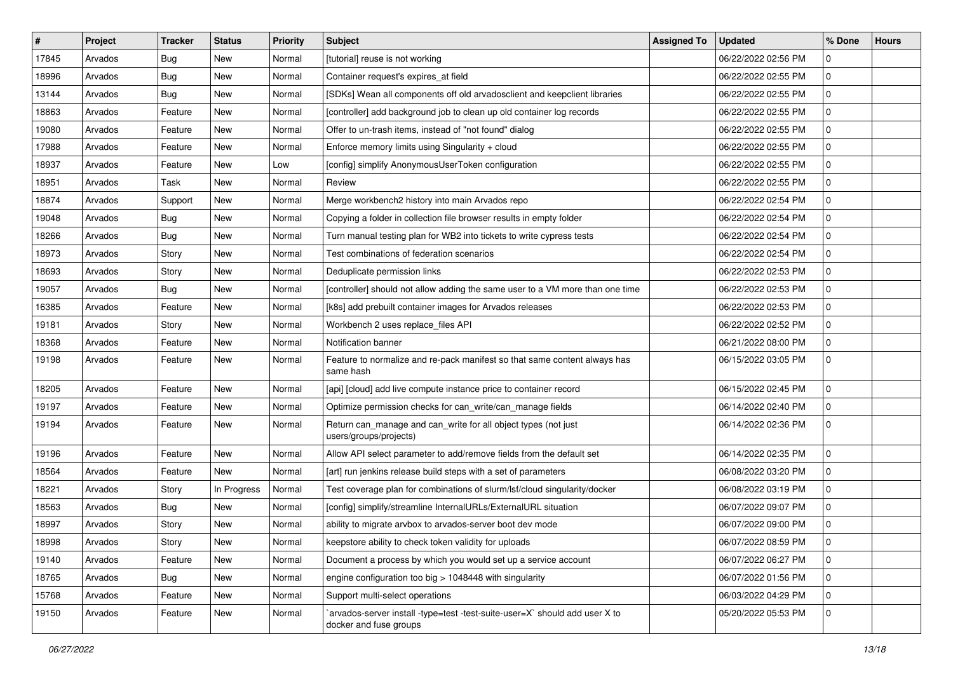| $\vert$ # | Project | <b>Tracker</b> | <b>Status</b> | Priority | Subject                                                                                               | <b>Assigned To</b> | <b>Updated</b>      | % Done       | <b>Hours</b> |
|-----------|---------|----------------|---------------|----------|-------------------------------------------------------------------------------------------------------|--------------------|---------------------|--------------|--------------|
| 17845     | Arvados | Bug            | New           | Normal   | [tutorial] reuse is not working                                                                       |                    | 06/22/2022 02:56 PM | 0            |              |
| 18996     | Arvados | Bug            | New           | Normal   | Container request's expires_at field                                                                  |                    | 06/22/2022 02:55 PM | 0            |              |
| 13144     | Arvados | Bug            | New           | Normal   | [SDKs] Wean all components off old arvadosclient and keepclient libraries                             |                    | 06/22/2022 02:55 PM | 0            |              |
| 18863     | Arvados | Feature        | <b>New</b>    | Normal   | [controller] add background job to clean up old container log records                                 |                    | 06/22/2022 02:55 PM | 0            |              |
| 19080     | Arvados | Feature        | New           | Normal   | Offer to un-trash items, instead of "not found" dialog                                                |                    | 06/22/2022 02:55 PM | 0            |              |
| 17988     | Arvados | Feature        | New           | Normal   | Enforce memory limits using Singularity + cloud                                                       |                    | 06/22/2022 02:55 PM | 0            |              |
| 18937     | Arvados | Feature        | New           | Low      | [config] simplify AnonymousUserToken configuration                                                    |                    | 06/22/2022 02:55 PM | 0            |              |
| 18951     | Arvados | Task           | New           | Normal   | Review                                                                                                |                    | 06/22/2022 02:55 PM | 0            |              |
| 18874     | Arvados | Support        | New           | Normal   | Merge workbench2 history into main Arvados repo                                                       |                    | 06/22/2022 02:54 PM | 0            |              |
| 19048     | Arvados | Bug            | New           | Normal   | Copying a folder in collection file browser results in empty folder                                   |                    | 06/22/2022 02:54 PM | 0            |              |
| 18266     | Arvados | Bug            | New           | Normal   | Turn manual testing plan for WB2 into tickets to write cypress tests                                  |                    | 06/22/2022 02:54 PM | 0            |              |
| 18973     | Arvados | Story          | New           | Normal   | Test combinations of federation scenarios                                                             |                    | 06/22/2022 02:54 PM | 0            |              |
| 18693     | Arvados | Story          | New           | Normal   | Deduplicate permission links                                                                          |                    | 06/22/2022 02:53 PM | 0            |              |
| 19057     | Arvados | Bug            | New           | Normal   | [controller] should not allow adding the same user to a VM more than one time                         |                    | 06/22/2022 02:53 PM | 0            |              |
| 16385     | Arvados | Feature        | <b>New</b>    | Normal   | [k8s] add prebuilt container images for Arvados releases                                              |                    | 06/22/2022 02:53 PM | 0            |              |
| 19181     | Arvados | Story          | New           | Normal   | Workbench 2 uses replace_files API                                                                    |                    | 06/22/2022 02:52 PM | 0            |              |
| 18368     | Arvados | Feature        | <b>New</b>    | Normal   | Notification banner                                                                                   |                    | 06/21/2022 08:00 PM | 0            |              |
| 19198     | Arvados | Feature        | New           | Normal   | Feature to normalize and re-pack manifest so that same content always has<br>same hash                |                    | 06/15/2022 03:05 PM | 0            |              |
| 18205     | Arvados | Feature        | New           | Normal   | [api] [cloud] add live compute instance price to container record                                     |                    | 06/15/2022 02:45 PM | 0            |              |
| 19197     | Arvados | Feature        | New           | Normal   | Optimize permission checks for can_write/can_manage fields                                            |                    | 06/14/2022 02:40 PM | 0            |              |
| 19194     | Arvados | Feature        | New           | Normal   | Return can_manage and can_write for all object types (not just<br>users/groups/projects)              |                    | 06/14/2022 02:36 PM | 0            |              |
| 19196     | Arvados | Feature        | New           | Normal   | Allow API select parameter to add/remove fields from the default set                                  |                    | 06/14/2022 02:35 PM | 0            |              |
| 18564     | Arvados | Feature        | <b>New</b>    | Normal   | [art] run jenkins release build steps with a set of parameters                                        |                    | 06/08/2022 03:20 PM | 0            |              |
| 18221     | Arvados | Story          | In Progress   | Normal   | Test coverage plan for combinations of slurm/lsf/cloud singularity/docker                             |                    | 06/08/2022 03:19 PM | 0            |              |
| 18563     | Arvados | Bug            | New           | Normal   | [config] simplify/streamline InternalURLs/ExternalURL situation                                       |                    | 06/07/2022 09:07 PM | 0            |              |
| 18997     | Arvados | Story          | New           | Normal   | ability to migrate arvbox to arvados-server boot dev mode                                             |                    | 06/07/2022 09:00 PM | 0            |              |
| 18998     | Arvados | Story          | New           | Normal   | keepstore ability to check token validity for uploads                                                 |                    | 06/07/2022 08:59 PM | l 0          |              |
| 19140     | Arvados | Feature        | New           | Normal   | Document a process by which you would set up a service account                                        |                    | 06/07/2022 06:27 PM | 0            |              |
| 18765     | Arvados | Bug            | New           | Normal   | engine configuration too big > 1048448 with singularity                                               |                    | 06/07/2022 01:56 PM | 0            |              |
| 15768     | Arvados | Feature        | New           | Normal   | Support multi-select operations                                                                       |                    | 06/03/2022 04:29 PM | $\mathsf{O}$ |              |
| 19150     | Arvados | Feature        | New           | Normal   | `arvados-server install -type=test -test-suite-user=X` should add user X to<br>docker and fuse groups |                    | 05/20/2022 05:53 PM | $\Omega$     |              |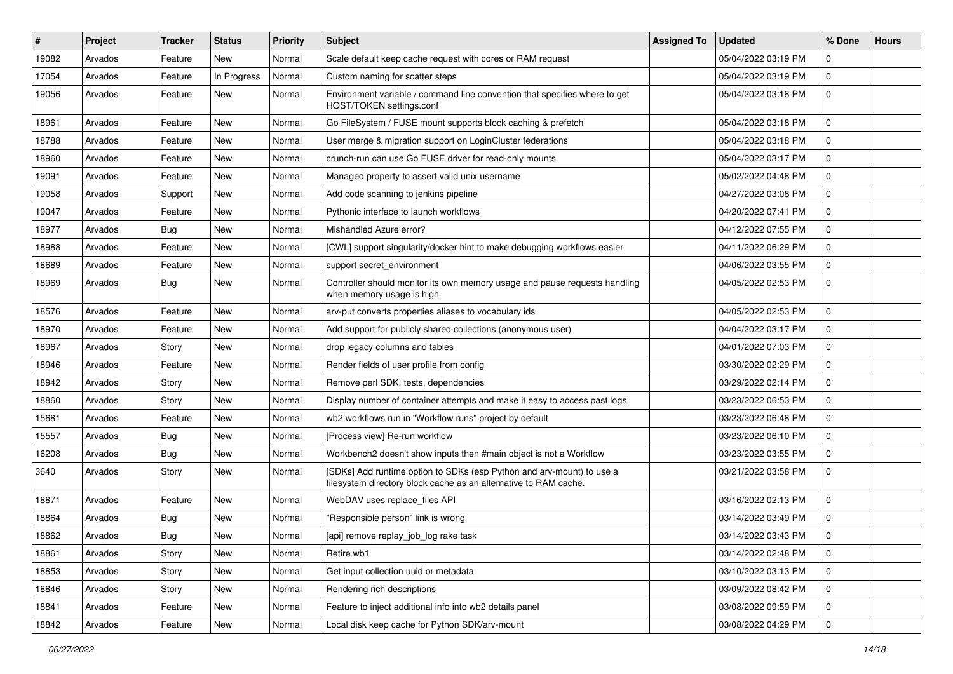| ∦     | Project | <b>Tracker</b> | <b>Status</b> | Priority | <b>Subject</b>                                                                                                                            | <b>Assigned To</b> | <b>Updated</b>      | % Done      | <b>Hours</b> |
|-------|---------|----------------|---------------|----------|-------------------------------------------------------------------------------------------------------------------------------------------|--------------------|---------------------|-------------|--------------|
| 19082 | Arvados | Feature        | <b>New</b>    | Normal   | Scale default keep cache request with cores or RAM request                                                                                |                    | 05/04/2022 03:19 PM | 0           |              |
| 17054 | Arvados | Feature        | In Progress   | Normal   | Custom naming for scatter steps                                                                                                           |                    | 05/04/2022 03:19 PM | 0           |              |
| 19056 | Arvados | Feature        | New           | Normal   | Environment variable / command line convention that specifies where to get<br>HOST/TOKEN settings.conf                                    |                    | 05/04/2022 03:18 PM | $\mathbf 0$ |              |
| 18961 | Arvados | Feature        | <b>New</b>    | Normal   | Go FileSystem / FUSE mount supports block caching & prefetch                                                                              |                    | 05/04/2022 03:18 PM | $\Omega$    |              |
| 18788 | Arvados | Feature        | New           | Normal   | User merge & migration support on LoginCluster federations                                                                                |                    | 05/04/2022 03:18 PM | 0           |              |
| 18960 | Arvados | Feature        | <b>New</b>    | Normal   | crunch-run can use Go FUSE driver for read-only mounts                                                                                    |                    | 05/04/2022 03:17 PM | $\Omega$    |              |
| 19091 | Arvados | Feature        | New           | Normal   | Managed property to assert valid unix username                                                                                            |                    | 05/02/2022 04:48 PM | $\mathbf 0$ |              |
| 19058 | Arvados | Support        | <b>New</b>    | Normal   | Add code scanning to jenkins pipeline                                                                                                     |                    | 04/27/2022 03:08 PM | 0           |              |
| 19047 | Arvados | Feature        | <b>New</b>    | Normal   | Pythonic interface to launch workflows                                                                                                    |                    | 04/20/2022 07:41 PM | 0           |              |
| 18977 | Arvados | <b>Bug</b>     | <b>New</b>    | Normal   | Mishandled Azure error?                                                                                                                   |                    | 04/12/2022 07:55 PM | 0           |              |
| 18988 | Arvados | Feature        | <b>New</b>    | Normal   | [CWL] support singularity/docker hint to make debugging workflows easier                                                                  |                    | 04/11/2022 06:29 PM | 0           |              |
| 18689 | Arvados | Feature        | New           | Normal   | support secret environment                                                                                                                |                    | 04/06/2022 03:55 PM | 0           |              |
| 18969 | Arvados | <b>Bug</b>     | New           | Normal   | Controller should monitor its own memory usage and pause requests handling<br>when memory usage is high                                   |                    | 04/05/2022 02:53 PM | 0           |              |
| 18576 | Arvados | Feature        | New           | Normal   | arv-put converts properties aliases to vocabulary ids                                                                                     |                    | 04/05/2022 02:53 PM | $\mathbf 0$ |              |
| 18970 | Arvados | Feature        | New           | Normal   | Add support for publicly shared collections (anonymous user)                                                                              |                    | 04/04/2022 03:17 PM | 0           |              |
| 18967 | Arvados | Story          | <b>New</b>    | Normal   | drop legacy columns and tables                                                                                                            |                    | 04/01/2022 07:03 PM | 0           |              |
| 18946 | Arvados | Feature        | New           | Normal   | Render fields of user profile from config                                                                                                 |                    | 03/30/2022 02:29 PM | 0           |              |
| 18942 | Arvados | Story          | <b>New</b>    | Normal   | Remove perl SDK, tests, dependencies                                                                                                      |                    | 03/29/2022 02:14 PM | 0           |              |
| 18860 | Arvados | Story          | New           | Normal   | Display number of container attempts and make it easy to access past logs                                                                 |                    | 03/23/2022 06:53 PM | 0           |              |
| 15681 | Arvados | Feature        | <b>New</b>    | Normal   | wb2 workflows run in "Workflow runs" project by default                                                                                   |                    | 03/23/2022 06:48 PM | 0           |              |
| 15557 | Arvados | Bug            | <b>New</b>    | Normal   | [Process view] Re-run workflow                                                                                                            |                    | 03/23/2022 06:10 PM | 0           |              |
| 16208 | Arvados | Bug            | <b>New</b>    | Normal   | Workbench2 doesn't show inputs then #main object is not a Workflow                                                                        |                    | 03/23/2022 03:55 PM | 0           |              |
| 3640  | Arvados | Story          | New           | Normal   | [SDKs] Add runtime option to SDKs (esp Python and arv-mount) to use a<br>filesystem directory block cache as an alternative to RAM cache. |                    | 03/21/2022 03:58 PM | 0           |              |
| 18871 | Arvados | Feature        | <b>New</b>    | Normal   | WebDAV uses replace_files API                                                                                                             |                    | 03/16/2022 02:13 PM | 0           |              |
| 18864 | Arvados | <b>Bug</b>     | <b>New</b>    | Normal   | 'Responsible person" link is wrong                                                                                                        |                    | 03/14/2022 03:49 PM | 0           |              |
| 18862 | Arvados | Bug            | New           | Normal   | [api] remove replay_job_log rake task                                                                                                     |                    | 03/14/2022 03:43 PM | $\Omega$    |              |
| 18861 | Arvados | Story          | New           | Normal   | Retire wb1                                                                                                                                |                    | 03/14/2022 02:48 PM | 0           |              |
| 18853 | Arvados | Story          | New           | Normal   | Get input collection uuid or metadata                                                                                                     |                    | 03/10/2022 03:13 PM | $\mathbf 0$ |              |
| 18846 | Arvados | Story          | New           | Normal   | Rendering rich descriptions                                                                                                               |                    | 03/09/2022 08:42 PM | 0           |              |
| 18841 | Arvados | Feature        | New           | Normal   | Feature to inject additional info into wb2 details panel                                                                                  |                    | 03/08/2022 09:59 PM | 0           |              |
| 18842 | Arvados | Feature        | New           | Normal   | Local disk keep cache for Python SDK/arv-mount                                                                                            |                    | 03/08/2022 04:29 PM | 0           |              |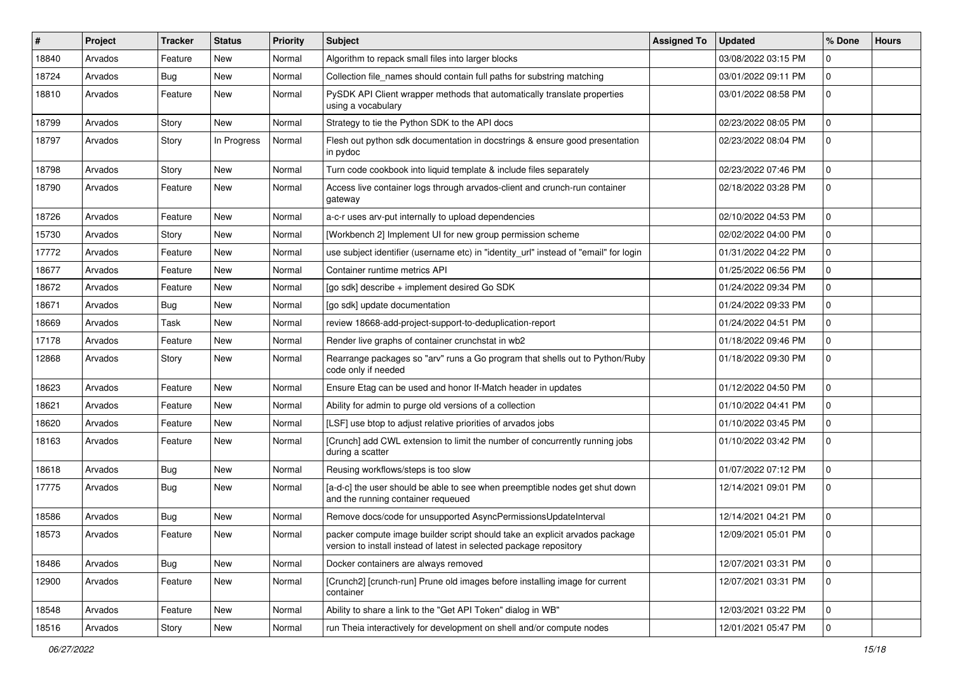| $\#$  | Project | <b>Tracker</b> | <b>Status</b> | <b>Priority</b> | <b>Subject</b>                                                                                                                                     | <b>Assigned To</b> | <b>Updated</b>      | % Done       | <b>Hours</b> |
|-------|---------|----------------|---------------|-----------------|----------------------------------------------------------------------------------------------------------------------------------------------------|--------------------|---------------------|--------------|--------------|
| 18840 | Arvados | Feature        | New           | Normal          | Algorithm to repack small files into larger blocks                                                                                                 |                    | 03/08/2022 03:15 PM | 0            |              |
| 18724 | Arvados | Bug            | <b>New</b>    | Normal          | Collection file_names should contain full paths for substring matching                                                                             |                    | 03/01/2022 09:11 PM | $\Omega$     |              |
| 18810 | Arvados | Feature        | New           | Normal          | PySDK API Client wrapper methods that automatically translate properties<br>using a vocabulary                                                     |                    | 03/01/2022 08:58 PM | $\mathbf 0$  |              |
| 18799 | Arvados | Story          | New           | Normal          | Strategy to tie the Python SDK to the API docs                                                                                                     |                    | 02/23/2022 08:05 PM | 0            |              |
| 18797 | Arvados | Story          | In Progress   | Normal          | Flesh out python sdk documentation in docstrings & ensure good presentation<br>in pydoc                                                            |                    | 02/23/2022 08:04 PM | 0            |              |
| 18798 | Arvados | Story          | New           | Normal          | Turn code cookbook into liquid template & include files separately                                                                                 |                    | 02/23/2022 07:46 PM | 0            |              |
| 18790 | Arvados | Feature        | New           | Normal          | Access live container logs through arvados-client and crunch-run container<br>gateway                                                              |                    | 02/18/2022 03:28 PM | $\Omega$     |              |
| 18726 | Arvados | Feature        | New           | Normal          | a-c-r uses arv-put internally to upload dependencies                                                                                               |                    | 02/10/2022 04:53 PM | 0            |              |
| 15730 | Arvados | Story          | <b>New</b>    | Normal          | [Workbench 2] Implement UI for new group permission scheme                                                                                         |                    | 02/02/2022 04:00 PM | 0            |              |
| 17772 | Arvados | Feature        | New           | Normal          | use subject identifier (username etc) in "identity_url" instead of "email" for login                                                               |                    | 01/31/2022 04:22 PM | 0            |              |
| 18677 | Arvados | Feature        | New           | Normal          | Container runtime metrics API                                                                                                                      |                    | 01/25/2022 06:56 PM | 0            |              |
| 18672 | Arvados | Feature        | New           | Normal          | [go sdk] describe + implement desired Go SDK                                                                                                       |                    | 01/24/2022 09:34 PM | 0            |              |
| 18671 | Arvados | Bug            | New           | Normal          | [go sdk] update documentation                                                                                                                      |                    | 01/24/2022 09:33 PM | 0            |              |
| 18669 | Arvados | Task           | New           | Normal          | review 18668-add-project-support-to-deduplication-report                                                                                           |                    | 01/24/2022 04:51 PM | 0            |              |
| 17178 | Arvados | Feature        | <b>New</b>    | Normal          | Render live graphs of container crunchstat in wb2                                                                                                  |                    | 01/18/2022 09:46 PM | $\mathbf 0$  |              |
| 12868 | Arvados | Story          | New           | Normal          | Rearrange packages so "arv" runs a Go program that shells out to Python/Ruby<br>code only if needed                                                |                    | 01/18/2022 09:30 PM | 0            |              |
| 18623 | Arvados | Feature        | <b>New</b>    | Normal          | Ensure Etag can be used and honor If-Match header in updates                                                                                       |                    | 01/12/2022 04:50 PM | $\mathbf 0$  |              |
| 18621 | Arvados | Feature        | New           | Normal          | Ability for admin to purge old versions of a collection                                                                                            |                    | 01/10/2022 04:41 PM | $\Omega$     |              |
| 18620 | Arvados | Feature        | New           | Normal          | [LSF] use btop to adjust relative priorities of arvados jobs                                                                                       |                    | 01/10/2022 03:45 PM | 0            |              |
| 18163 | Arvados | Feature        | New           | Normal          | [Crunch] add CWL extension to limit the number of concurrently running jobs<br>during a scatter                                                    |                    | 01/10/2022 03:42 PM | 0            |              |
| 18618 | Arvados | Bug            | <b>New</b>    | Normal          | Reusing workflows/steps is too slow                                                                                                                |                    | 01/07/2022 07:12 PM | $\mathbf 0$  |              |
| 17775 | Arvados | Bug            | New           | Normal          | [a-d-c] the user should be able to see when preemptible nodes get shut down<br>and the running container requeued                                  |                    | 12/14/2021 09:01 PM | $\mathbf 0$  |              |
| 18586 | Arvados | Bug            | <b>New</b>    | Normal          | Remove docs/code for unsupported AsyncPermissionsUpdateInterval                                                                                    |                    | 12/14/2021 04:21 PM | 0            |              |
| 18573 | Arvados | Feature        | New           | Normal          | packer compute image builder script should take an explicit arvados package<br>version to install instead of latest in selected package repository |                    | 12/09/2021 05:01 PM | $\mathbf 0$  |              |
| 18486 | Arvados | Bug            | New           | Normal          | Docker containers are always removed                                                                                                               |                    | 12/07/2021 03:31 PM | $\mathbf 0$  |              |
| 12900 | Arvados | Feature        | New           | Normal          | [Crunch2] [crunch-run] Prune old images before installing image for current<br>container                                                           |                    | 12/07/2021 03:31 PM | $\mathbf 0$  |              |
| 18548 | Arvados | Feature        | New           | Normal          | Ability to share a link to the "Get API Token" dialog in WB"                                                                                       |                    | 12/03/2021 03:22 PM | $\mathbf{0}$ |              |
| 18516 | Arvados | Story          | New           | Normal          | run Theia interactively for development on shell and/or compute nodes                                                                              |                    | 12/01/2021 05:47 PM | 0            |              |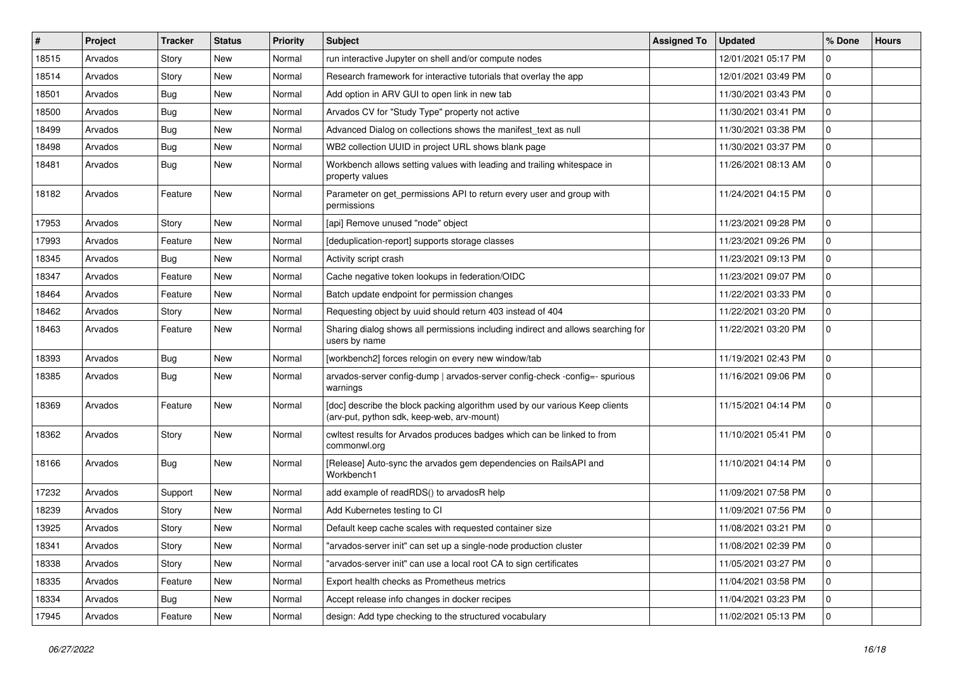| #     | Project | <b>Tracker</b> | <b>Status</b> | Priority | Subject                                                                                                                   | <b>Assigned To</b> | <b>Updated</b>      | % Done      | <b>Hours</b> |
|-------|---------|----------------|---------------|----------|---------------------------------------------------------------------------------------------------------------------------|--------------------|---------------------|-------------|--------------|
| 18515 | Arvados | Story          | New           | Normal   | run interactive Jupyter on shell and/or compute nodes                                                                     |                    | 12/01/2021 05:17 PM | 0           |              |
| 18514 | Arvados | Story          | <b>New</b>    | Normal   | Research framework for interactive tutorials that overlay the app                                                         |                    | 12/01/2021 03:49 PM | 0           |              |
| 18501 | Arvados | Bug            | New           | Normal   | Add option in ARV GUI to open link in new tab                                                                             |                    | 11/30/2021 03:43 PM | 0           |              |
| 18500 | Arvados | Bug            | <b>New</b>    | Normal   | Arvados CV for "Study Type" property not active                                                                           |                    | 11/30/2021 03:41 PM | 0           |              |
| 18499 | Arvados | <b>Bug</b>     | <b>New</b>    | Normal   | Advanced Dialog on collections shows the manifest_text as null                                                            |                    | 11/30/2021 03:38 PM | 0           |              |
| 18498 | Arvados | <b>Bug</b>     | <b>New</b>    | Normal   | WB2 collection UUID in project URL shows blank page                                                                       |                    | 11/30/2021 03:37 PM | 0           |              |
| 18481 | Arvados | <b>Bug</b>     | <b>New</b>    | Normal   | Workbench allows setting values with leading and trailing whitespace in<br>property values                                |                    | 11/26/2021 08:13 AM | 0           |              |
| 18182 | Arvados | Feature        | New           | Normal   | Parameter on get_permissions API to return every user and group with<br>permissions                                       |                    | 11/24/2021 04:15 PM | 0           |              |
| 17953 | Arvados | Story          | New           | Normal   | [api] Remove unused "node" object                                                                                         |                    | 11/23/2021 09:28 PM | 0           |              |
| 17993 | Arvados | Feature        | <b>New</b>    | Normal   | [deduplication-report] supports storage classes                                                                           |                    | 11/23/2021 09:26 PM | 0           |              |
| 18345 | Arvados | Bug            | <b>New</b>    | Normal   | Activity script crash                                                                                                     |                    | 11/23/2021 09:13 PM | 0           |              |
| 18347 | Arvados | Feature        | <b>New</b>    | Normal   | Cache negative token lookups in federation/OIDC                                                                           |                    | 11/23/2021 09:07 PM | 0           |              |
| 18464 | Arvados | Feature        | <b>New</b>    | Normal   | Batch update endpoint for permission changes                                                                              |                    | 11/22/2021 03:33 PM | 0           |              |
| 18462 | Arvados | Story          | <b>New</b>    | Normal   | Requesting object by uuid should return 403 instead of 404                                                                |                    | 11/22/2021 03:20 PM | 0           |              |
| 18463 | Arvados | Feature        | New           | Normal   | Sharing dialog shows all permissions including indirect and allows searching for<br>users by name                         |                    | 11/22/2021 03:20 PM | 0           |              |
| 18393 | Arvados | Bug            | New           | Normal   | [workbench2] forces relogin on every new window/tab                                                                       |                    | 11/19/2021 02:43 PM | 0           |              |
| 18385 | Arvados | <b>Bug</b>     | <b>New</b>    | Normal   | arvados-server config-dump   arvados-server config-check -config=- spurious<br>warnings                                   |                    | 11/16/2021 09:06 PM | 0           |              |
| 18369 | Arvados | Feature        | <b>New</b>    | Normal   | [doc] describe the block packing algorithm used by our various Keep clients<br>(arv-put, python sdk, keep-web, arv-mount) |                    | 11/15/2021 04:14 PM | 0           |              |
| 18362 | Arvados | Story          | <b>New</b>    | Normal   | cwltest results for Arvados produces badges which can be linked to from<br>commonwl.org                                   |                    | 11/10/2021 05:41 PM | 0           |              |
| 18166 | Arvados | Bug            | <b>New</b>    | Normal   | [Release] Auto-sync the arvados gem dependencies on RailsAPI and<br>Workbench1                                            |                    | 11/10/2021 04:14 PM | 0           |              |
| 17232 | Arvados | Support        | <b>New</b>    | Normal   | add example of readRDS() to arvadosR help                                                                                 |                    | 11/09/2021 07:58 PM | 0           |              |
| 18239 | Arvados | Story          | <b>New</b>    | Normal   | Add Kubernetes testing to CI                                                                                              |                    | 11/09/2021 07:56 PM | 0           |              |
| 13925 | Arvados | Story          | New           | Normal   | Default keep cache scales with requested container size                                                                   |                    | 11/08/2021 03:21 PM | 0           |              |
| 18341 | Arvados | Story          | New           | Normal   | "arvados-server init" can set up a single-node production cluster                                                         |                    | 11/08/2021 02:39 PM | $\mathbf 0$ |              |
| 18338 | Arvados | Story          | New           | Normal   | "arvados-server init" can use a local root CA to sign certificates                                                        |                    | 11/05/2021 03:27 PM | 0           |              |
| 18335 | Arvados | Feature        | New           | Normal   | Export health checks as Prometheus metrics                                                                                |                    | 11/04/2021 03:58 PM | 0           |              |
| 18334 | Arvados | <b>Bug</b>     | New           | Normal   | Accept release info changes in docker recipes                                                                             |                    | 11/04/2021 03:23 PM | 0           |              |
| 17945 | Arvados | Feature        | New           | Normal   | design: Add type checking to the structured vocabulary                                                                    |                    | 11/02/2021 05:13 PM | $\mathbf 0$ |              |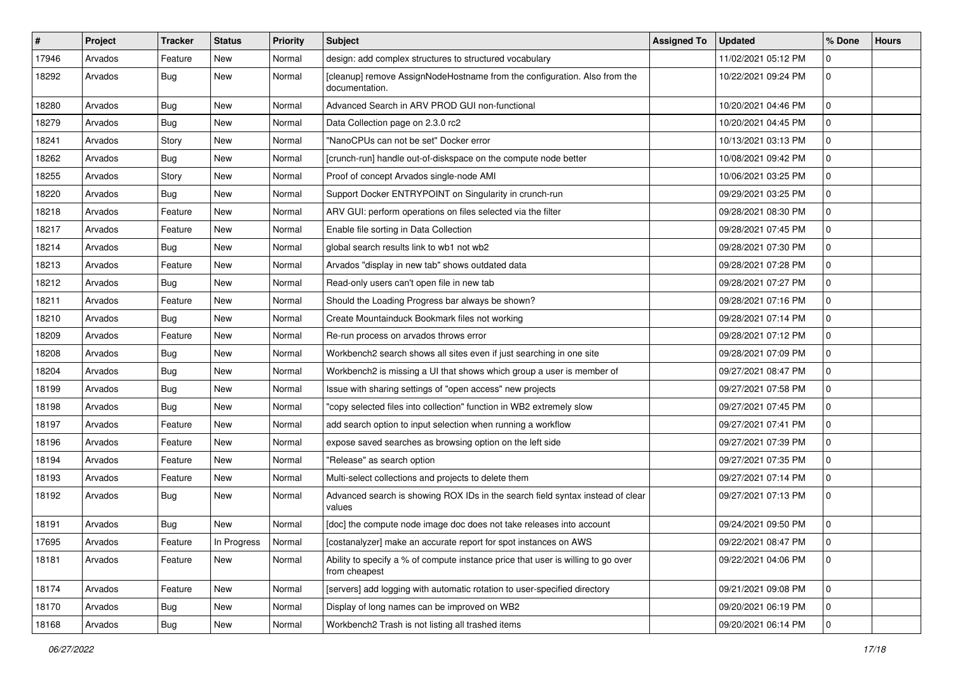| $\vert$ # | Project | <b>Tracker</b> | <b>Status</b> | Priority | Subject                                                                                           | <b>Assigned To</b> | <b>Updated</b>      | % Done         | <b>Hours</b> |
|-----------|---------|----------------|---------------|----------|---------------------------------------------------------------------------------------------------|--------------------|---------------------|----------------|--------------|
| 17946     | Arvados | Feature        | New           | Normal   | design: add complex structures to structured vocabulary                                           |                    | 11/02/2021 05:12 PM | 0              |              |
| 18292     | Arvados | Bug            | New           | Normal   | [cleanup] remove AssignNodeHostname from the configuration. Also from the<br>documentation.       |                    | 10/22/2021 09:24 PM | $\mathbf 0$    |              |
| 18280     | Arvados | Bug            | New           | Normal   | Advanced Search in ARV PROD GUI non-functional                                                    |                    | 10/20/2021 04:46 PM | 0              |              |
| 18279     | Arvados | Bug            | New           | Normal   | Data Collection page on 2.3.0 rc2                                                                 |                    | 10/20/2021 04:45 PM | $\mathbf 0$    |              |
| 18241     | Arvados | Story          | New           | Normal   | "NanoCPUs can not be set" Docker error                                                            |                    | 10/13/2021 03:13 PM | $\mathbf 0$    |              |
| 18262     | Arvados | Bug            | <b>New</b>    | Normal   | [crunch-run] handle out-of-diskspace on the compute node better                                   |                    | 10/08/2021 09:42 PM | 0              |              |
| 18255     | Arvados | Story          | New           | Normal   | Proof of concept Arvados single-node AMI                                                          |                    | 10/06/2021 03:25 PM | 0              |              |
| 18220     | Arvados | Bug            | <b>New</b>    | Normal   | Support Docker ENTRYPOINT on Singularity in crunch-run                                            |                    | 09/29/2021 03:25 PM | 0              |              |
| 18218     | Arvados | Feature        | New           | Normal   | ARV GUI: perform operations on files selected via the filter                                      |                    | 09/28/2021 08:30 PM | $\mathbf 0$    |              |
| 18217     | Arvados | Feature        | New           | Normal   | Enable file sorting in Data Collection                                                            |                    | 09/28/2021 07:45 PM | 0              |              |
| 18214     | Arvados | Bug            | New           | Normal   | global search results link to wb1 not wb2                                                         |                    | 09/28/2021 07:30 PM | 0              |              |
| 18213     | Arvados | Feature        | New           | Normal   | Arvados "display in new tab" shows outdated data                                                  |                    | 09/28/2021 07:28 PM | 0              |              |
| 18212     | Arvados | Bug            | New           | Normal   | Read-only users can't open file in new tab                                                        |                    | 09/28/2021 07:27 PM | 0              |              |
| 18211     | Arvados | Feature        | New           | Normal   | Should the Loading Progress bar always be shown?                                                  |                    | 09/28/2021 07:16 PM | 0              |              |
| 18210     | Arvados | Bug            | New           | Normal   | Create Mountainduck Bookmark files not working                                                    |                    | 09/28/2021 07:14 PM | 0              |              |
| 18209     | Arvados | Feature        | New           | Normal   | Re-run process on arvados throws error                                                            |                    | 09/28/2021 07:12 PM | 0              |              |
| 18208     | Arvados | Bug            | New           | Normal   | Workbench2 search shows all sites even if just searching in one site                              |                    | 09/28/2021 07:09 PM | $\mathbf 0$    |              |
| 18204     | Arvados | <b>Bug</b>     | New           | Normal   | Workbench2 is missing a UI that shows which group a user is member of                             |                    | 09/27/2021 08:47 PM | $\mathbf 0$    |              |
| 18199     | Arvados | Bug            | <b>New</b>    | Normal   | Issue with sharing settings of "open access" new projects                                         |                    | 09/27/2021 07:58 PM | 0              |              |
| 18198     | Arvados | Bug            | New           | Normal   | "copy selected files into collection" function in WB2 extremely slow                              |                    | 09/27/2021 07:45 PM | $\mathbf 0$    |              |
| 18197     | Arvados | Feature        | New           | Normal   | add search option to input selection when running a workflow                                      |                    | 09/27/2021 07:41 PM | 0              |              |
| 18196     | Arvados | Feature        | New           | Normal   | expose saved searches as browsing option on the left side                                         |                    | 09/27/2021 07:39 PM | 0              |              |
| 18194     | Arvados | Feature        | New           | Normal   | "Release" as search option                                                                        |                    | 09/27/2021 07:35 PM | 0              |              |
| 18193     | Arvados | Feature        | <b>New</b>    | Normal   | Multi-select collections and projects to delete them                                              |                    | 09/27/2021 07:14 PM | 0              |              |
| 18192     | Arvados | Bug            | New           | Normal   | Advanced search is showing ROX IDs in the search field syntax instead of clear<br>values          |                    | 09/27/2021 07:13 PM | 0              |              |
| 18191     | Arvados | <b>Bug</b>     | New           | Normal   | [doc] the compute node image doc does not take releases into account                              |                    | 09/24/2021 09:50 PM | $\mathbf 0$    |              |
| 17695     | Arvados | Feature        | In Progress   | Normal   | [costanalyzer] make an accurate report for spot instances on AWS                                  |                    | 09/22/2021 08:47 PM | $\overline{0}$ |              |
| 18181     | Arvados | Feature        | New           | Normal   | Ability to specify a % of compute instance price that user is willing to go over<br>from cheapest |                    | 09/22/2021 04:06 PM | $\mathbf 0$    |              |
| 18174     | Arvados | Feature        | New           | Normal   | [servers] add logging with automatic rotation to user-specified directory                         |                    | 09/21/2021 09:08 PM | $\mathbf 0$    |              |
| 18170     | Arvados | Bug            | New           | Normal   | Display of long names can be improved on WB2                                                      |                    | 09/20/2021 06:19 PM | $\mathbf 0$    |              |
| 18168     | Arvados | Bug            | New           | Normal   | Workbench2 Trash is not listing all trashed items                                                 |                    | 09/20/2021 06:14 PM | $\mathbf 0$    |              |